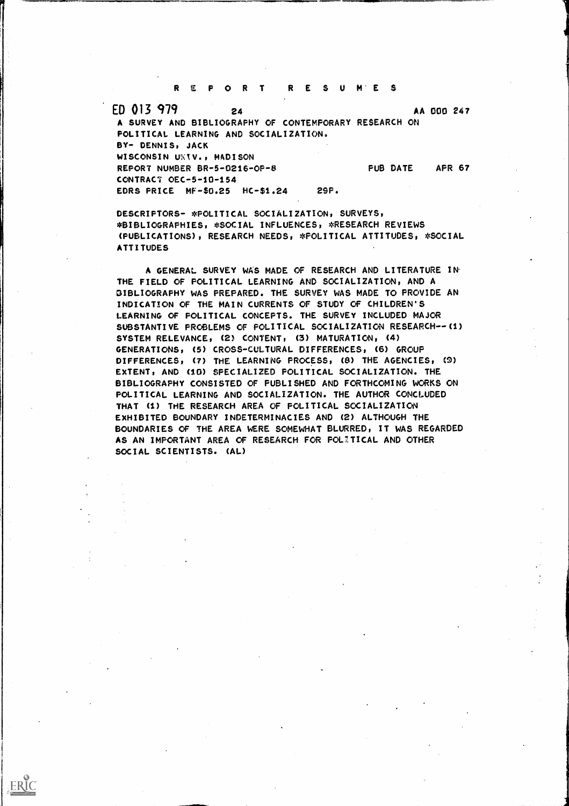REPORT RESUM'ES

ED 013 979 24 AA 000 247 A SURVEY AND BIBLIOGRAPHY OF CONTEMPORARY RESEARCH ON POLITICAL LEARNING AND SOCIALIZATION. BY- DENNIS, JACK WISCONSIN UNIV., MADISON REPORT NUMBER BR-5-0216-OF-8 PUB DATE AFR 67 CONTRACT OEC-5-10-154 EDRS PRICE MF-\$0.25 HC-\$1.24 29P.

DESCRIPTORS- \*POLITICAL SOCIALIZATION, SURVEYS, \*BIBLIOGRAPHIES, \*SOCIAL INFLUENCES, \*RESEARCH REVIEWS (PUBLICATIONS), RESEARCH NEEDS, \*POLITICAL ATTITUDES, \*SOCIAL ATTITUDES

A GENERAL SURVEY WAS MADE OF RESEARCH AND LITERATURE IN THE FIELD OF POLITICAL LEARNING AND SOCIALIZATION, AND A GIBLIOGRAPHY WAS PREPARED. THE SURVEY WAS MADE TO PROVIDE AN INDICATION OF THE MAIN CURRENTS OF STUDY OF CHILDREN'S LEARNING OF POLITICAL CONCEPTS. THE SURVEY INCLUDED MAJOR SUBSTANTIVE PROBLEMS OF POLITICAL SOCIALIZATION RESEARCH--(1) SYSTEM RELEVANCE, (2) CONTENT, (3) MATURATION, (4) GENERATIONS, (5) CROSS-CULTURAL DIFFERENCES, (6) GROUP DIFFERENCES, (7) THE LEARNING PROCESS, (8) THE AGENCIES, (9) EXTENT, AND (10) SPECIALIZED POLITICAL SOCIALIZATION. THE BIBLIOGRAPHY CONSISTED OF PUBLISHED AND FORTHCOMING WORKS ON POLITICAL LEARNING AND SOCIALIZATION. THE AUTHOR CONCLUDED THAT (1) THE RESEARCH AREA OF POLITICAL SOCIALIZATION EXHIBITED BOUNDARY INDETERMINACIES AND (2) ALTHOUGH THE BOUNDARIES OF THE AREA WERE SOMEWHAT BLURRED, IT WAS REGARDED AS AN IMPORTANT AREA OF RESEARCH FOR POLITICAL AND OTHER SOCIAL SCIENTISTS. (AL)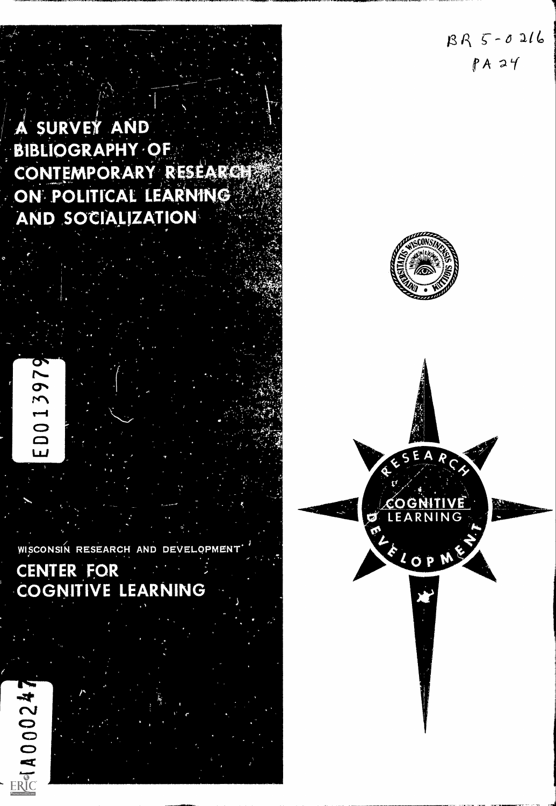$BR5-0.216$  $PA24$ 

# A SURVEY AND BIBLIOGRAPHY-OF CONTEMPORARY RESEARCH ON POLITICAL LEARNING AND SOCIALIZATION r

.<br>.<br>.<br>.

f

 $\mathcal{A}_1$   $\mathcal{A}_2$  $\mathbf{r}_1$  -  $\mathbf{r}_2$ 

 $\partial^2\mathcal{G}^*\partial^2\mathcal{G}^*_{\mathcal{G}}$ 

° SEA

PL CP ME

ð

is distribution of the contract of

OGNITIVE NO LEARNING A PRODUCED

la

1.= so, 4r

 $\mathbf{r}$ .  $\mathbf{r}$ 

ED013979

cz.

WISCONSIN RESEARCH AND DEVELOPMENT

f

# CENTER FOR COGNITIVE LEARNING

■ 10000247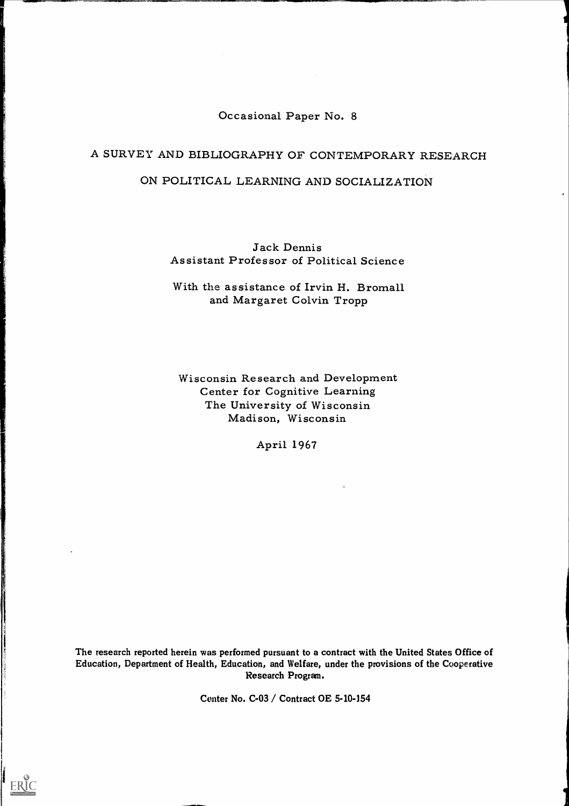# Occasional Paper No. 8

# A SURVEY AND BIBLIOGRAPHY OF CONTEMPORARY RESEARCH

# ON POLITICAL LEARNING AND SOCIALIZATION

Jack Dennis Assistant Professor of Political Science

With the assistance of Irvin H. Bromall and Margaret Colvin Tropp

Wisconsin Research and Development Center for Cognitive Learning The University of Wisconsin Madison, Wisconsin

April 1967

The research reported herein was performed pursuant to a contract with the United States Office of Education, Department of Health, Education, and Welfare, under the provisions of the Cooperative Research Program.

Center No. C-03 / Contract OE 5-10-154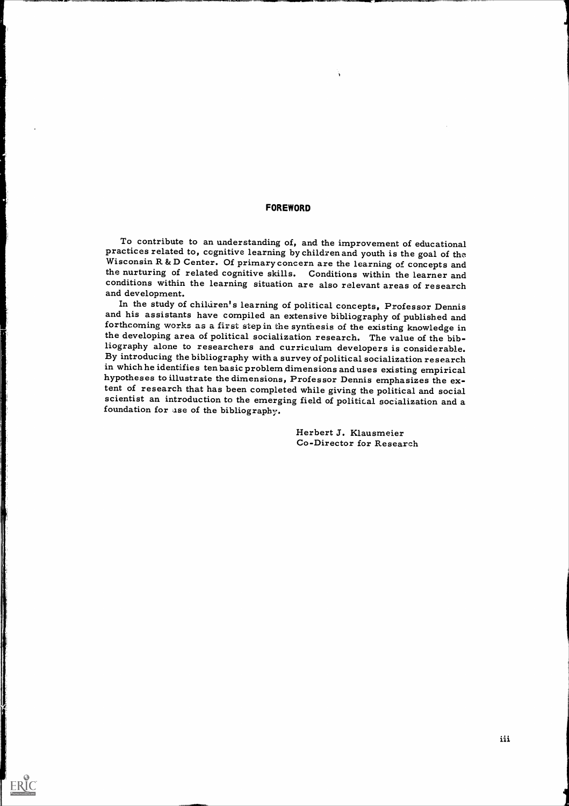#### FOREWORD

.01 411,-. FINNINFM,

ERIC

To contribute to an understanding of, and the improvement of educational practices related to, cognitive learning by children and youth is the goal of the Wisconsin R & D Center. Of primary concern are the learning of conc the nurturing of related cognitive skills. Conditions within the learner and conditions within the learning situation are also relevant areas of research and development.<br>In the study of children's learning of political concepts, Professor Dennis

and his assistants have compiled an extensive bibliography of published and forthcoming works as a first step in the synthesis of the existing knowledge in the developing area of political socialization research. The value of the bibliography alone to researchers and curriculum developers is considerable. By introducing the bibliography with a survey of political socialization research<br>in which he identifies ten basic problem dimensions and uses existing empirical hypotheses to illustrate the dimensions, Professor Dennis emphasizes the ex-<br>tent of research that has been completed while giving the political and social scientist an introduction to the emerging field of political socialization and a foundation for ase of the bibliography.

> Herbert J. Klausmeier Co-Director for Research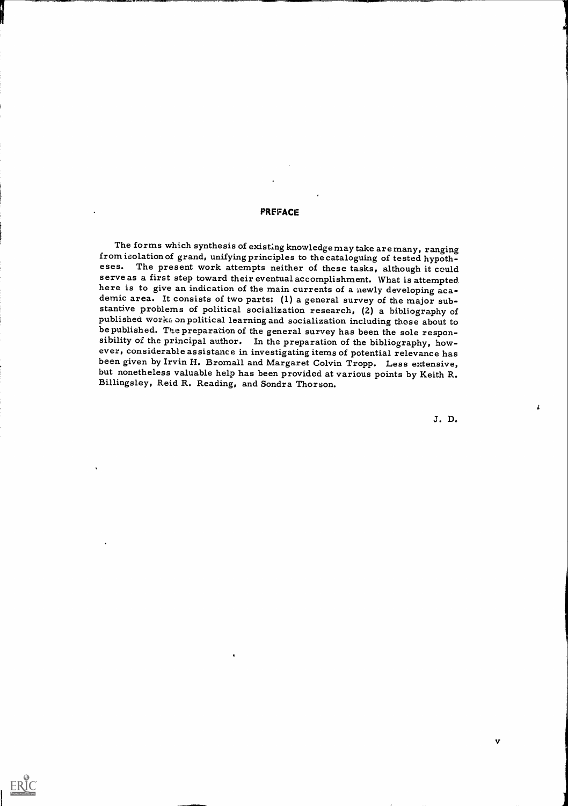#### **PREFACE**

The forms which synthesis of existing knowledge may take are many, ranging from isolation of grand, unifying principles to the cataloguing of tested hypotheses. The present work attempts neither of these tasks, although it could serve as a first step toward their eventual accomplishment. What is attempted here is to give an indication of the main currents of a newly developing aca-<br>demic area. It consists of two parts: (1) a general survey of the major sub-<br>stantive problems of political socialization research, (2) a biblio

J. D.

 $\hat{\pmb{\mu}}$ 

 $\mathbf v$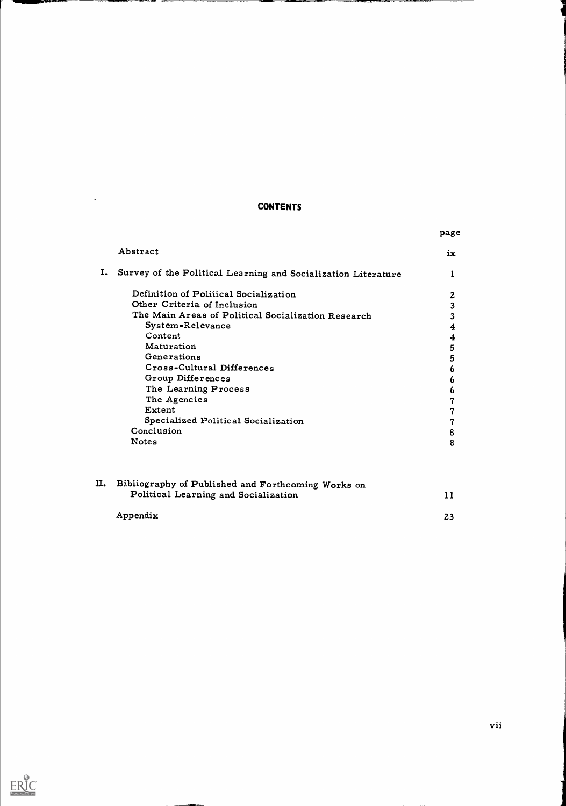# CONTENTS

 $\langle \sigma \rangle$ 

 $\underset{\overbrace{\mathbf{F} \text{full test Provided by EBC}}}{\mathbf{F} \times \mathbf{F} \times \mathbf{F} \times \mathbf{F} \times \mathbf{F} \times \mathbf{F} \times \mathbf{F} \times \mathbf{F}}$ 

|     |                                                               | page                    |  |
|-----|---------------------------------------------------------------|-------------------------|--|
|     | Abstract                                                      | ix.                     |  |
| Ι.  | Survey of the Political Learning and Socialization Literature | 1                       |  |
|     | Definition of Political Socialization                         | $\mathbf{z}$            |  |
|     | Other Criteria of Inclusion                                   | $\overline{\mathbf{3}}$ |  |
|     | The Main Areas of Political Socialization Research            | 3                       |  |
|     | System-Relevance                                              | $\boldsymbol{4}$        |  |
|     | Content                                                       | $\boldsymbol{4}$        |  |
|     | Maturation                                                    | 5                       |  |
|     | Generations                                                   | 5                       |  |
|     | Cross-Cultural Differences                                    | 6                       |  |
|     | Group Differences                                             | 6                       |  |
|     | The Learning Process                                          | 6                       |  |
|     | The Agencies                                                  | 7                       |  |
|     | Extent                                                        | 7                       |  |
|     | Specialized Political Socialization                           | 7                       |  |
|     | Conclusion                                                    | 8                       |  |
|     | <b>Notes</b>                                                  | 8                       |  |
|     |                                                               |                         |  |
| II. | Bibliography of Published and Forthcoming Works on            |                         |  |
|     | Political Learning and Socialization                          | 11                      |  |
|     | Appendix                                                      | 23                      |  |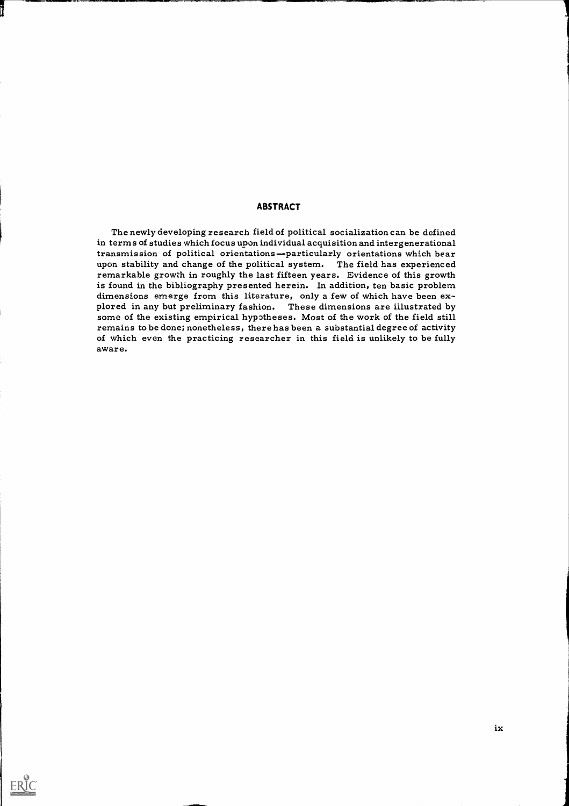### ABSTRACT

The newly developing research field of political socialization can be defined in terms of studies which focus upon individual acquisition and intergenerational transmission of political orientationsparticularly orientations which bear upon stability and change of the political system. The field has experienced remarkable growth in roughly the last fifteen years. Evidence of this growth is found in the bibliography presented herein. In addition, ten basic problem<br>dimensions emerge from this literature, only a few of which have been explored in any but preliminary fashion. These dimensions are illustrated by some of the existing empirical hypotheses. Most of the work of the field still remains to be done; nonetheless, there has been a substantial degree of activity of which even the practicing researcher in this field is unlikely to be fully aware.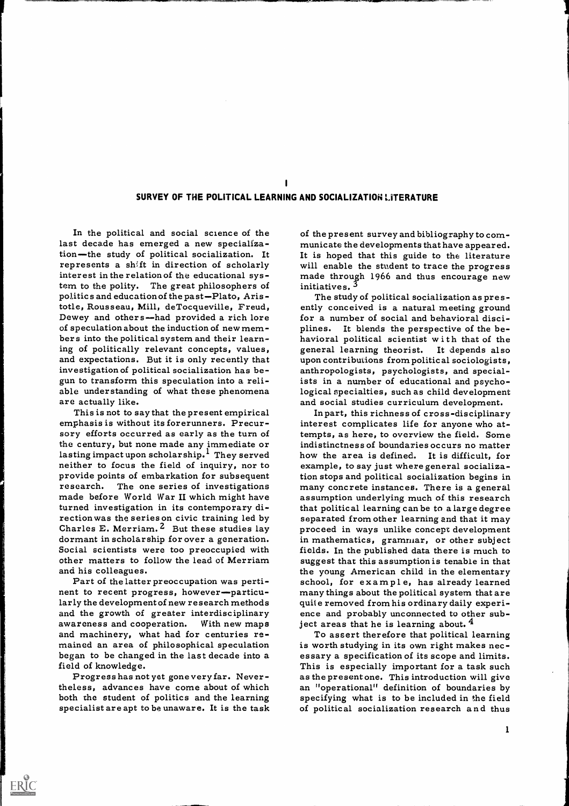### SURVEY OF THE POLITICAL LEARNING AND SOCIALIZATION LITERATURE

 $\blacksquare$ 

In the political and social science of the last decade has emerged a new specialization-the study of political socialization. It tion—the study of political socialization. It is hoped that this guide to the literature represents a shift in direction of scholarly will enable the student to trace the progress interest in the relation of the educational system to the polity. The great philosophers of politics and education of the past-Plato, Aristotle, Rousseau, Mill, deTocqueville, Freud, Dewey and others-had provided a rich lore of speculation about the induction of new members into the political system and their learning of politically relevant concepts, values, and expectations. But it is only recently that investigation of political socialization has be- gun to transform this speculation into a reliable understanding of what these phenomena are actually like.

This is not to say that the present empirical emphasis is without its forerunners. Precur- sory efforts occurred as early as the turn of the century, but none made any immediate or lasting impact upon scholarship.' They served neither to focus the field of inquiry, nor to provide points of embarkation for subsequent research. The one series of investigations made before World War II which might have turned investigation in its contemporary direction was the series on civic training led by Charles E. Merriam.  $2$  But these studies lay dormant in scholarship for over a generation. 
in mathematics, grammar, or other subject<br>Social scientists were too preoccupied with fields. In the published data there is much to other matters to follow the lead of Merriam

larly the development of new research methods and the growth of greater interdisciplinary awareness and cooperation. With new maps ject areas that he is learning about.<sup>4</sup><br>and machinery, what had for centuries re-<br>mained an area of philosophical speculation is worth studying in its own right makes necbegan to be changed in the last decade into a sessary a specification of its scope and limits. field of knowledge.

theless, advances have come about of which both the student of politics and the learning

ERIC

of the present survey and bibliography to communicate the developments that have appeared. It is hoped that this guide to the literature will enable the student to trace the progress made through 1966 and thus encourage new initiatives.<sup>5</sup>

The study of political socialization as presently conceived is a natural meeting ground for a number of social and behavioral disciplines. It blends the perspective of the be-<br>havioral political scientist with that of the<br>general learning theorist. It depends also upon contributions from politic al sociologists, anthropologists, psychologists, and specialists in a number of educational and psychological specialties, such as child development and social studies curriculum development.

and his colleagues.<br>
Part of the latter preoccupation was perti-<br>
nent to recent progress, however-particu-<br>
nent to recent progress, however-particu-<br>
many things about the political system that are Inpart, this richness of cross-disciplinary interest complicates life for anyone who attempts, as here, to overview the field. Some indistinctness of boundaries occurs no matter how the area is defined. It is difficult, for example, to say just where general socialization stops and political socialization begins in many concrete instances. There is a general that political learning can be to a large degree separated from other learning and that it may proceed in ways unlike concept development suggest that this assumption is tenable in that school, for example, has already learned many things about the political system that are quit e removed from his ordinary daily experience and probably unconnected to other subject areas that he is learning about.  $4$ 

Progress has not yet gone very far. Never specialist are apt to be unaware. It is the task of political socialization research and thus is worth studying in its own right makes necas the present one. This introduction will give an "operational" definition of boundaries by specifying what is to be included in the field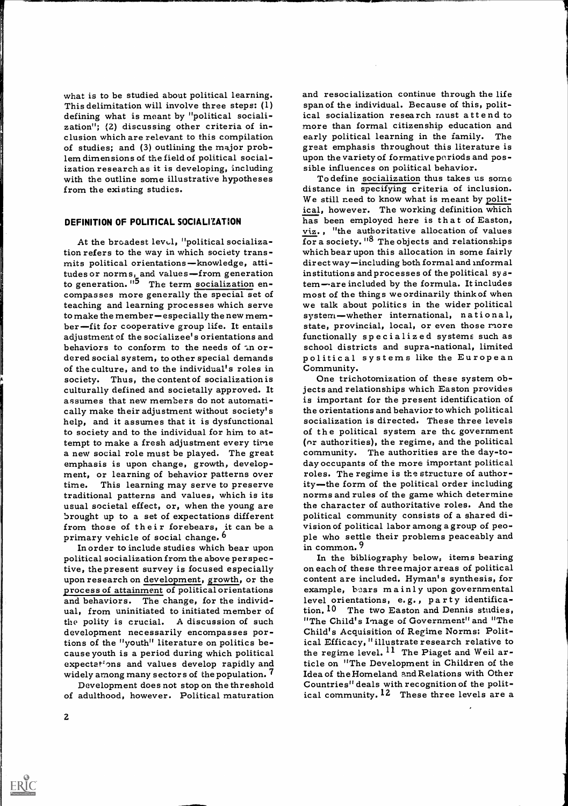what is to be studied about political learning.<br>This delimitation will involve three steps: (1) defining what is meant by "political sociali-<br>zation"; (2) discussing other criteria of inclusion which are relevant to this compilation of studies; and (3) outlining the major problem dimensions of the field of political socialization research as it is developing, including sible influences on political behavior. with the outline some illustrative hypotheses from the existing studies.

#### DEFINITION OF POLITICAL SOCIALIZATION

At the broadest level, "political socialization refers to the way in which society trans-<br>mits political orientations—knowledge, attitudes or norms, and values-from generation to generation. "<sup>5</sup> The term socialization encompasses more generally the special set of teaching and learning processes which serve to make the member-especially the new mem-<br>ber-fit for cooperative group life. It entails state, provincial, local, or even those more adjustment of the socializee's orientations and functionally specialized systems such as<br>behaviors to conform to the needs of an or-school districts and supra-national, limited dered social system, to other special demands of the culture, and to the individual's roles in society. Thus, the content of socialization is culturally defined and societally approved. It assumes that new members do not automatically make their adjustment without society's the orientations and behavior to which political<br>help, and it assumes that it is dysfunctional socialization is directed. These three levels to society and to the individual for him to attempt to make a fresh adjustment every time a new social role must be played. The great emphasis is upon change, growth, develop- day occupants of the more important political<br>ment, or learning of behavior patterns over roles. The regime is the structure of authortime. This learning may serve to preserve traditional patterns and values, which is its usual societal effect, or, when the young are brought up to a set of expectations different from those of their forebears, it can be a primary vehicle of social change.<sup>b</sup>

In order to include studies which bear upon political socialization from the above per spec tive, the present survey is focused especially on each of these three major areas of political upon research on development, growth, or the content are included. Hyman's synthesis, for process of attainment of political orientations and behaviors. The change, for the individ-<br>ual, from uninitiated to initiated member of tion.<sup>10</sup> The two Easton and Dennis studies, the polity is crucial. A discussion of such https://the Child's Image of Government''and "The development necessarily encompasses por- https://the Acquisition of Regime Norms: Politdevelopment necessarily encompasses portions of the "youth" literature on politics because youth is a period during which political expectations and values develop rapidly and widely among many sector s of the population. 7

Development does not stop on the threshold of adulthood, however. Political maturation

and resocialization continue through the life span of the individual. Because of this, political socialization research must attend to more than formal citizenship education and early political learning in the family. The great emphasis throughout this literature is upon the variety of formative periods and pos-

To define socialization thus takes us some distance in specifying criteria of inclusion. We still need to know what is meant by political, however. The working definition which has been employed here is that of Easton, viz. , "the authoritative allocation of values for a society. "<sup>8</sup> The objects and relationships which bear upon this allocation in some fairly  $direct way—including both formal and informal$ institutions and processes of the political system-are included by the formula. It includes most of the things we ordinarily think of when functionally specialized systems such as political systems like the European

One trichotomization of these system objects and relationships which Easton provides is important for the present identification of socialization is directed. These three levels of the political system are the government (nr authorities), the regime, and the political community. The authorities are the day-today occupants of the more important political ity—the form of the political order including norms and rules of the game which determine the character of authoritative roles. And the political community consists of a shared division of political labor among a group of people who settle their problems peaceably and in common. 9

In the bibliography below, items bearing example, boars mainly upon governmental tion. 10 The two Easton and Dennis studies, "The Child's Image of Government" and "The ical Efficacy, " illustrate research relative to the regime level.  $^{11}$  The Piaget and Weil article on "The Development in Children of the Idea of the Homeland and Relations with Other Countries" deals with recognition of the political community.<sup>12</sup> These three levels are a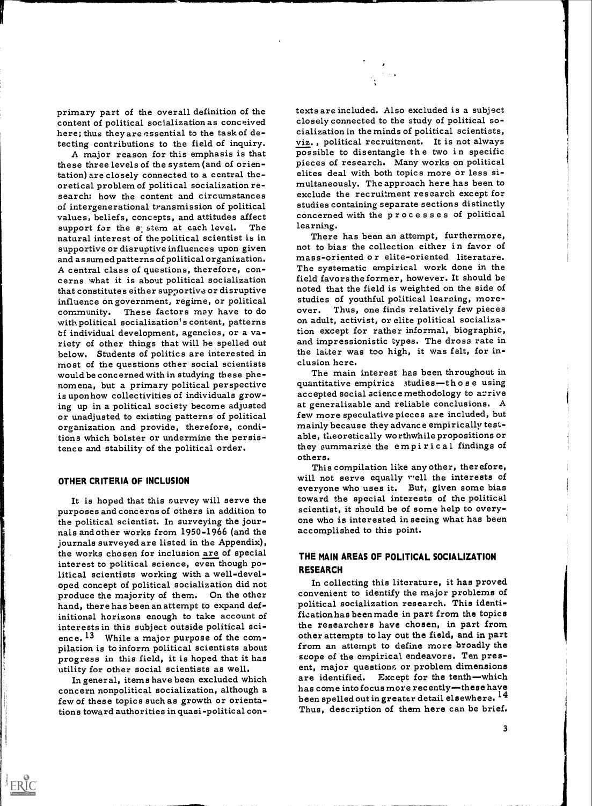primary part of the overall definition of the content of political socialization as conceived<br>here; thus they are essential to the task of de-<br>tecting contributions to the field of inquiry.<br>viz., political recruitment. It is not always

these three levels of the system (and of orientation) are closely connected to a central theoretical problem of political socialization re-<br>search: how the content and circumstances exclude the recruitment research except for of intergenerational transmission of political values, beliefs, concepts, and attitudes affect concerne<br>support for the s<sub>i</sub> stem at each level. The learning. natural interest of the political scientist is in There has been an attempt, furthermore, supportive or disruptive influences upon given and assumed patterns of political organization. A central class of questions, therefore, con-<br>
cerns what it is about political socialization field favors the former, however. It should be<br>
that constitutes either supportive or disruptive noted that the field is weighte that constitutes either supportive or disruptive influence on government, regime, or political community. These factors may have to do with political socialization's content, patterns on adult, activist, or elite political socializa-<br>
of individual development, agencies, or a va-<br>
tion except for rather informal, biographic, tf individual development, agencies, or a va- riety of other things that will he spelled out below. Students of politics are interested in most of the questions other social scientists would be conc erned with in studying these phe- nomena, but a primary political perspective is upon how collectivities of individuals growing up in a political society become adjusted at generalizable and reliable conclusions. A or unadjusted to existing patterns of political organization and provide, therefore, conditions which bolster or undermine the persistence and stability of the political order.

#### OTHER CRITERIA OF INCLUSION

ERIC

It is hoped that this survey will serve the toward the special interests of the political<br>purposes and concerns of others in addition to scientist, it should be of some help to everythe political scientist. In surveying the journals and other works from 1950-1966 (and the journals surveyed are listed in the Appendix), the works chosen for inclusion are of special interest to political science, even though political scientists working with a well-developed concept of political socialization did not produce the majority of them. On the other convenient to identity the major problems of<br>hand, there has been an attempt to expand def-<br>political socialization research. This identihand, there has been an attempt to expand definitional horizons enough to take account of interests in this subject outside political sci-<br>ence.<sup>13</sup> While a major purpose of the com-

In general, items have been excluded which concern nonpolitical socialization, although a few of these topics such as growth or orientations toward authorities in quasi-political con-

tecting contributions to the field of inquiry.<br>
A major reason for this emphasis is that<br>
these three levels of the system (and of orien-<br>
pieces of research. Many works on political texts are included. Also excluded is a subject closely connected to the study of political socialization in the minds of political scientists, elites deal with both topics more or less siexclude the recruitment research except for studies containing separate sections distinctly concerned with the processes of political

> not to bias the collection either in favor of mass-oriented o r elite-oriented literature. The systematic empirical work done in the field favors the former, however. It should be studies of youthful political learning, moreover. Thus, one finds relatively few pieces on adult, activist, or elite political socializaand impressionistic types. The dross rate in the latter was too high, it was felt, for inclusion here.

> The main interest has been throughout in quantitative empirica studies-th o s e using accepted social science methodology to arrive few more speculative pieces are included, but mainly because they advance empirically testable, theoretically worthwhile propositions or they summarize the empirical findings of others.

> This compilation like any other, therefore, will not serve equally well the interests of everyone who uses it. But, given some bias toward the special interests of the political one who is interested in seeing what has been accomplished to this point.

## THE MAIN AREAS OF POLITICAL SOCIALIZATION RESEARCH

pulation is to inform political scientists about from an attempt to define more broadly the<br>progress in this field, it is hoped that it has scope of the empirical endeavors. Ten pres-<br>utility for other social scientists as In collecting this literature, it has proved convenient to identify the major problems of ficationhas been made in part from the topics the researchers have chosen, in part from other attempts to lay out the field, and in part scope of the empirical endeavors. Ten presare identified. Except for the tenth-which has come into focus more recently-these have been spelled out in greater detail elsewhere. <sup>14</sup> Thus, description of them here can be brief.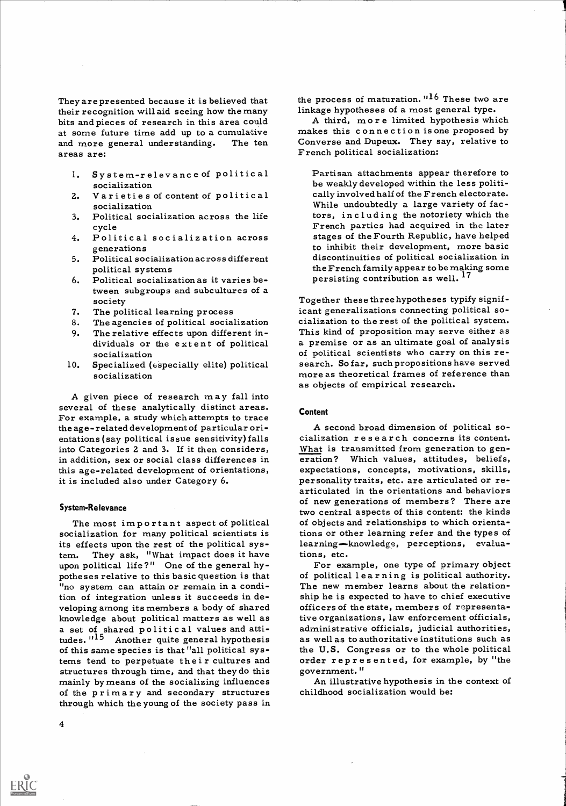They are presented because it is believed that their recognition will aid seeing how the many linkage hypotheses of a most general type. and more general understanding. The ten areas are:

- 1. System-relevance of political socialization
- 2. Varieties of content of political socialization
- cycle
- generations
- 5. Political socialization across different political systems
- 6. Political socialization as it varies between subgroups and subcultures of a society
- 7. The political learning process
- 
- socialization
- 10. Specialized (especially elite) political socialization

A given piece of research may fall into several of these analytically distinct areas. For example, a study which attempts to trace the age-related development of particular orientations (say political issue sensitivity) falls into Categories 2 and 3. If it then considers, in addition, sex or social class differences in this age-related development of orientations, it is included also under Category 6.

#### System-Relevance

The most important aspect of political socialization for many political scientists is its effects upon the rest of the political system. They ask, "What impact does it have tions, etc.<br>upon political life?" One of the general hy-<br>For example, one type of primary object upon political life?" One of the general hypotheses relative to this basic question is that "no system can attain or remain in a condition of integration unless it succeeds in developing among its members a body of shared officers of the state, members of representaknowledge about political matters as well as tive organizations, law enforcement officials, a set of shared politic al values and atti-<br>administrative officials, judicial authorities, of this same species is that "all political systems tend to perpetuate their cultures and order repre<br>structures through time, and that they do this government." structures through time, and that they do this mainly by means of the socializing influences of the primary and secondary structures through which the young of the society pass in

the process of maturation.  $116$  These two are

bits and pieces of research in this area could here are think more limited hypothesis which<br>at some future time add up to a cumulative hakes this connection is one proposed by at some future time add up to a cumulative strander in this connection is one proposed by and more general understanding. The ten solution Converse and Dupeux. They say, relative to A third, more limited hypothesis which French political socialization:

3. Political socialization across the life tors, including the notoriety which the cycle the later  $\frac{1}{2}$  French parties had acquired in the later 4. Political socialization across stages of the Fourth Republic, have helped<br>generations to inhibit their development, more basic Partisan attachments appear therefore to be weakly developed within the less politically involved half of the French electorate. While undoubtedly a large variety of factors, including the notoriety which the stages of the Fourth Republic, have helped discontinuities of political socialization in the French family appear to be making some persisting contribution as well.<sup>17</sup>

8. The agencies of political socialization cialization to the rest of the political system.<br>9. The relative effects upon different in-<br>This kind of proposition may serve either as 9. The relative effects upon different in-<br>dividuals or the extent of political a premise or as an ultimate goal of analysis<br>socialization of political scientists who carry on this re-Together these three hypotheses typify significant generalizations connecting political sosearch. So far, such propositions have served<br>more as theoretical frames of reference than as objects of empirical research.

#### Content

A second broad dimension of political socialization r e s e a r c h concerns its content. What is transmitted from generation to generation? Which values, attitudes, beliefs, expectations, concepts, motivations, skills, personality traits, etc. are articulated or re- articulated in the orientations and behaviors of new generations of members? There are two central aspects of this content: the kinds of objects and relationships to which orientations or other learning refer and the types of learning-knowledge, perceptions, evaluations, etc.

tudes.<sup>1115</sup> Another quite general hypothesis as well as to authoritative institutions such as of this same species is that "all political sys-<br>the U.S. Congress or to the whole political of political learning is political authority.<br>The new member learns about the relationship he is expected to have to chief executive tive organizations, law enforcement officials, as well as to authoritative institutions such as order represented, for example, by "the

> An illustrative hypothesis in the context of childhood socialization would be: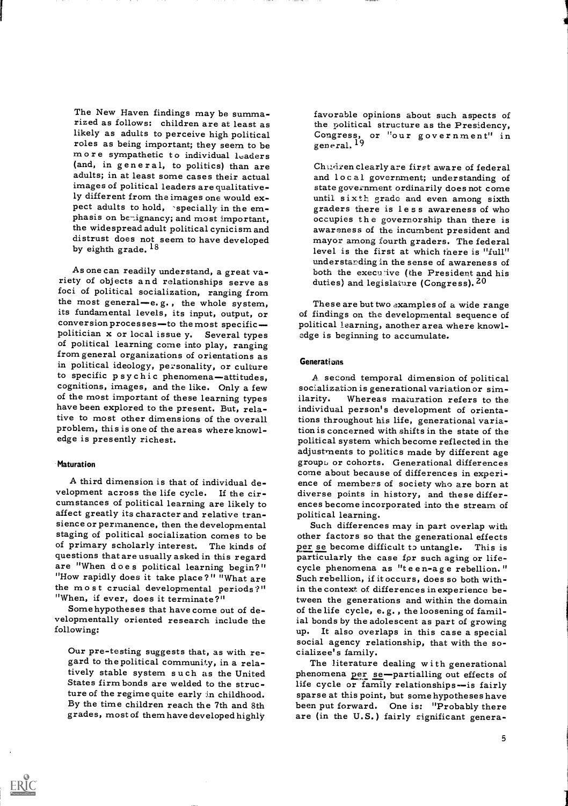The New Haven findings may be summarized as follows: children are at least as<br>likely as adults to perceive high political likely as adults to perceive high political congress, or "our government" in roles as being important; they seem to be general, <sup>19</sup> m ore sympathetic to individual leaders (and, in general, to politics) than are Chudren clearly are first aware of federal adults; in at least some cases their actual images of political leaders are qualitatively different from the images one would expect adults to hold, 'specially in the emphasis on be-ignancy; and most important, phasis on be-ignancy; and most important, occupies the governorship than there is<br>the widespread adult political cynicism and awareness of the incumbent president and<br>distrust does not seem to have developed mayor among fo by eighth grade.  $^{18}$ 

As one can readily understand, a great va- riety of objects and relationships serve as foci of political socialization, ranging from<br>the most general—e.g., the whole system, These are but two examples of a wide range<br>its fundamental levels, its input, output, or of findings on the developmental sequence of<br>c politician x or local issue y. Several types edge is beginning to accumulate.<br>of political learning come into play, ranging from general organizations of orientations as in political ideology, personality, or culture to specific p s y c h i c phenomena-attitudes, cognitions, images, and the like. Only a few<br>of the most important of these learning types of the most important of these learning types ilarity.<br>have been explored to the present. But, rela-<br>individu tive to most other dimensions of the overall problem, this is one of the areas where knowledge is presently richest.

#### **Maturation**

A third dimension is that of individual development across the life cycle. If the circumstances of political learning are likely to affect greatly its character and relative tranaffect greatly its character and relative tran-<br>sience or permanence, then the developmental Such differences may in part overlap with<br>staging of political socialization comes to be other factors so that the generational e of primary scholarly interest. The kinds of questions that are usually asked in this regard are "When doe s political learning begin?" "How rapidly does it take place?" "What are the most crucial developmental periods?" "When, if ever, does it terminate?"

Some hypotheses that have come out of developmentally oriented research include the following:

Our pre-testing suggests that, as with re- cializee's family. gard to the political community, in a rela-States firm bonds are welded to the structure of the regime quite early in childhood. grades, most of them have developed highly

favorable opinions about such aspects of the political structure as the Presidency, general. 19

and local government; understanding of state government ordinarily does not come until sixth grade and even among sixth<br>graders there is less awareness of who<br>occupies the governorship than there is<br>awareness of the incumbent president and mayor among fourth graders. The federal level is the first at which there is "full" understanding in the sense of awareness of both the execuive (the President and his duties) and legislature (Congress).  $20$ 

of findings on the developmental sequence of political learning, another area where knowl-

#### **Generations**

A. second temporal dimension of political socialization is generational variation or sim-Whereas maturation refers to the individual person's development of orientations throughout his life, generational variation is concerned with shifts in the state of the political system which become reflected in the adjustments to politics made by different age group $\omega$  or cohorts. Generational differences come about because of differences in experi-<br>ence of members of society who are born at<br>diverse points in history, and these differences become incorporated into the stream of

other factors so that the generational effects per se become difficult to untangle. This is particularly the case fpr such aging or lifecycle phenomena as "t e e n-a g e rebellion. " Such rebellion, if it occurs, does so both within the context of differences inexperience between the generations and within the domain of the life cycle, e. g. , the loosening of familial bonds by the adolescent as part of growing up. It also overlaps in this case a special social agency relationship, that with the so-

gard to the political community, in a rela-<br>tively stable system such as the United bhenomena per se-partialling out effects of ture of the regime quite early in childhood. Sparse at this point, but some hypotheses have<br>By the time children reach the 7th and 8th been put forward. One is: "Probably there phenomena per se-partialling out effects of life cycle or family relationships-is fairly are (in the U.S.) fairly significant genera-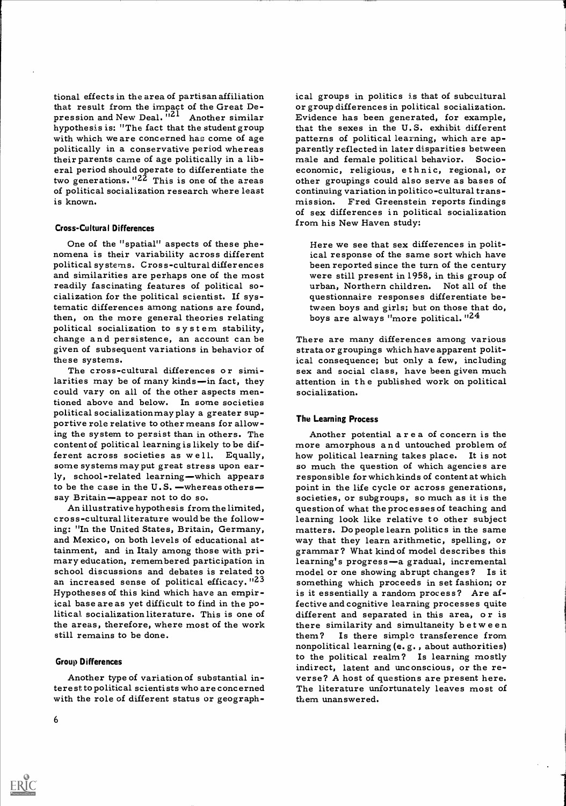tional effects in the area of partisan affiliation that result from the impact of the Great Depression and New Deal. <sup>121</sup> Another similar Evidence has been generated, for example, hypothesis is: "The fact that the student group with which we are concerned has come of age patterns of political learning, which are ap-<br>politically in a conservative period whereas parently reflected in later disparities between their parents came of age politically in a lib-<br>eral period should operate to differentiate the economic, religious, ethnic, regional, or two generations.  $12\overline{2}$  This is one of the areas of political socialization research where least is known.

#### Cross - Cultural Differences

One of the "spatial" aspects of these phe- nomena is their variability across different political systems. Cross-cultural differences and similarities are perhaps one of the most readily fascinating features of political so-cialization for the political scientist. If systematic differences among nations are found, then, on the more general theories relating political socialization to s y s t em stability, change and persistence, an account can be given of subsequent variations in behavior of these systems.<br>The cross-cultural differences or simi-

larities may be of many kinds-in fact, they could vary on all of the other aspects mentioned above and below. In some societies political socializationmay play a greater supportive role relative to other means for allowing the system to persist than in others. The content of political learning is likely to be dif-<br>ferent across societies as well. Equally, how political learning takes place. It is not some systems mayput great stress upon early, school-related learning—which appears responsible for which kinds of content at which to be the case in the  $U.S.$  —whereas others — point in the life cycle or across generations, say Britain-appear not to do so.

An illustrative hypothesis from the limited, cross-cultural literature would be the following: "In the United States, Britain, Germany, and Mexico, on both levels of educational atand Mexico, on both levels of educational at-<br>tainment, and in Italy among those with pri-<br>mary education, remembered participation in learning's progress—a gradual, incremental school discussions and debates is related to an increased sense of political efficacy. "23 Hypotheses of this kind which have an empirical base are as yet difficult to find in the political socialization literature. This is one of different and separated in this area, or is the areas, therefore, where most of the work still remains to be done.

#### Group Differences

Another type of variation of substantial in-Another type of variation of substantial in-<br>terest to political scientists who are concerned The literature unfortunately leaves most of<br>with the role of different status or geograph-<br>them unanswered.

ical groups in politics is that of subcultural or group differences in political socialization. Evidence has been generated, for example, that the sexes in the U.S. exhibit different patterns of political learning, which are apmale and female political behavior. Socioother groupings could also serve as bases of continuing variation in politico-cultural transmission. Fred Greenstein reports findings of sex differences in political socialization from his New Haven study:

Here we see that sex differences in political response of the same sort which have been reported since the turn of the century were still present in 1958, in this group of urban, Northern children. Not all of the questionnaire responses differentiate between boys and girls; but on those that do, boys are always "more political.  $124$ 

There are many differences among various strata or groupings which have apparent political consequence; but only a few, including sex and social class, have been given much attention in the published work on political socialization.

#### The Learning Process

Another potential area of concern is the how political learning takes place. It is not so much the question of which agencies are societies, or subgroups, so much as it is the question of what the processes of teaching and learning look like relative to other subject matters. Do people learn politics in the same learning's progress-a gradual, incremental model or one showing abrupt changes? Is it something which proceeds in set fashion; or is it essentially a random process? Are affective and cognitive learning processes quite there similarity and simultaneity between them? Is there simple transference from nonpolitical learning (e. g. , about authorities) to the political realm? Is learning mostly indirect, latent and unconscious, or the re-The literature unfortunately leaves most of them unanswered.



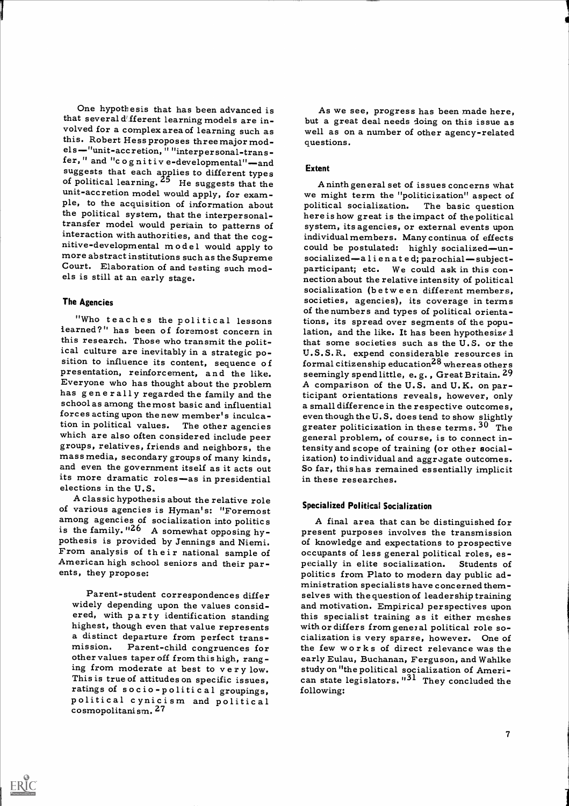One hypothesis that has been advanced is that several d' fferent learning models are inthat several different learning models are in-<br>volved for a complex area of learning such as well as on a number of other agency-related<br>this. Robert Hess proposes three major mod-<br>questions. els-"unit-accretion, " "interpersonal-trans-<br>fer, " and "c o g nitive-developmental"-and<br>suggests that each applies to different types of political learning. <sup>25</sup> He suggests that the apply and the unit-accretion model would apply, for exam-<br>unit-accretion model would apply, for exam- we might term the "politicization" aspect of ple, to the acquisition of ple, to the acquisition of information about the political system, that the interpersonaltransfer model would pertain to patterns of interaction with authorities, and that the coginteraction with authorities, and that the cog-<br>nitive-developmental model would apply to could be postulated: highly socialized—un-<br>more abstract institutions such as the Supreme socialized—alienated; parochial—subject-

#### The Agencies

ERIC

iearned?" has been of foremost concern in this research. Those who transmit the politthis research. Those who transmit the polit-<br>ical culture are inevitably in a strategic po-<br>sition to influence its content, sequence of formal citizenship education<sup>28</sup> whereas others<br>presentation, reinforcement, and the Everyone who has thought about the problem has g en e r ally regarded the family and the school as among the most basic and influential forces acting upon the new member's inculca-<br>tion in political values. The other agencies which are also often considered include peer general problem, of course, is to connect in-<br>groups, relatives, friends and neighbors, the tensity and scope of training (or other social-<br>mass media, secondary groups of many and even the government itself as it acts out So far, this has remained essentially implicit<br>its more dramatic roles—as in presidential in these researches.<br>elections in the U.S.

A classic hypothesis about the relative role of various agencies is Hyman's: "Foremost among agencies of socialization into politics is the family. "26 A somewhat opposing hy-<br>present purposes involves the transmission<br>pothesis is provided by Jennings and Niemi. of knowledge and expectations to prospective<br>From analysis of the ir national sample of occu

Parent-student correspondences differ widely depending upon the values considered, with party identification standing highest, though even that value represents ing from moderate at best to very low. This is true of attitudes on specific issues, ratings of socio-political groupings, political cynicism and political cosmopolitanism. 27

As we see, progress has been made here, but a great deal needs doing on this issue as well as on a number of other agency-related questions.

#### Extent

more abstract institutions such as the Supreme socialized—alienated; parochial—subject-<br>Court. Elaboration of and testing such mod-<br>els is still at an early stage.<br>nection about the relative intensity of political -of the numbers and types of political orienta<br>-Who teaches the political lessons tions, its spread over segments of the popu we might term the "politicization" aspect of political socialization. The basic question here is how great is the impact of the political system, its agencies, or external events upon could be postulated: highly socialized-unsocialization (between different members, societies, agencies), its coverage in terms tions, its spread over segments of the population, and the like. It has been hypothesized U.S.S.R. expend considerable resources in formal citizenship education28 whereas others seemingly spend little, e.g., Great Britain. 29 A comparison of the U.S. and U.K. on participant orientations reveals, however, only a small difference in the respective outcomes, even though the U. S. does tend to show slightly greater politicization in these terms.  $30$  The tensity and scope of training (or other socialization) to individual and aggregate outcomes.

## Specialized Political Socialization

highest, though even that value represents with or differs from general political role so-<br>a distinct departure from perfect trans-<br>mission. Parent-child congruences for the few works of direct relevance was the<br>other valu A final area that can be distinguished for present purposes involves the transmission of knowledge and expectations to prospective occupants of less general political roles, es- pecially in elite socialization. Students of politics from Plato to modern day public administration specialists have concerned themselves with the question of leadership training and motivation. Empirical perspectives upon this specialist training as it either meshes cialization is very sparse, however. One of the few works of direct relevance was the early Eulau, Buchanan, Ferguson, and Wahlke study on "the political socialization of American state legislators. "<sup>31</sup> They concluded the following: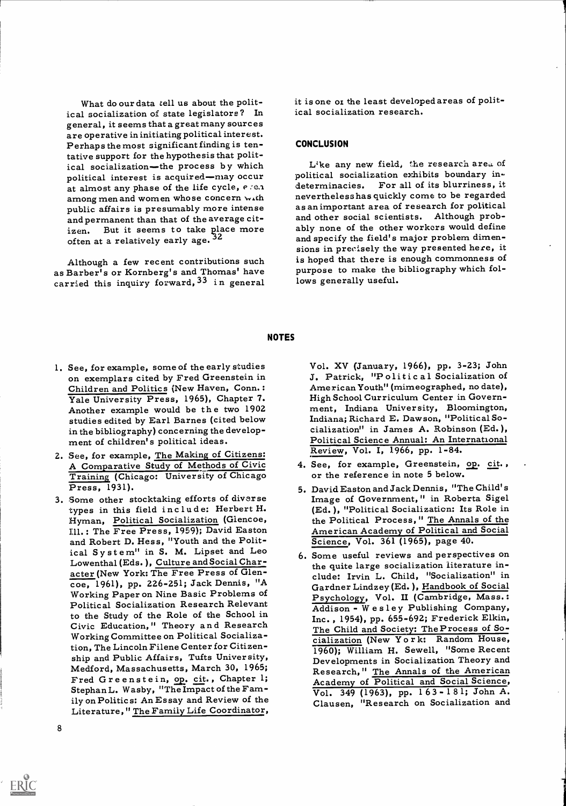What do our data tell us about the political socialization of state legislators? In general, it seems that a great many sources are operative in initiating political interest. Perhaps the most significant finding is tentative support for the hypothesis that political socialization-the process by which like any new field, the research area of political interest is acquired-may occur political socialization exhibits boundary inat almost any phase of the life cycle,  $e \cdot e$ . determinacies. among men and women who se concern with public affairs is presumably more intense and permanent than that of the average citoften at a relatively early age.  $32$ 

as Barber's or Kornberg's and Thomas' have carried this inquiry forward,  $3^3$  in general it is one oz the least developed areas of political socialization research.

#### **CONCLUSION**

izen. But it seems to take place more ably none of the other workers would define<br>often at a relatively early age.  $32$  and specify the field's major problem dimen-Although a few recent contributions such is hoped that there is enough commonness of political socialization exhibits boundary in-For all of its blurriness, it neverthelesshas quickly come to be regarded as animportant area of research for political and other social scientists. Although probably none of the other workers would define sions in precisely the way presented here, it purpose to make the bibliography which follows generally useful.

#### NOTES

- 1. See, for example, some of the early studies on exemplars cited by Fred Greenstein in Children and Politics (New Haven, Conn.:<br>Yale University Press, 1965), Chapter 7. Yale University Press, 1965), Chapter 7. High School Curriculum Center in Govern-<br>Another example would be the two 1902 ment, Indiana University, Bloomington, studies edited by Earl Barnes (cited below in the bibliography) concerning the development of children's political ideas.
- 2. See, for example, The Making of Citizens: A Comparative Study of Methods of Civic Training (Chicago: University of Chicago Press, 1931).
- 3. Some other stocktaking efforts of diverse types in this field include: Herbert H. Hyman, Political Socialization (Glencoe, Ill. : The Free Press, 1959); David Easton and Robert D. Hess, "Youth and the Political Sy stem" in S. M. Lipset and Leo Lowenthal (Eds. ), Culture and Social Character (New York: The Free Press of Glencoe, 1961), pp. 226-251; Jack Dennis, "A Working Paper on Nine Basic Problems of Political Socialization Research Relevant Civic Education," Theory and Research Working Committee on Political Socialization, The Lincoln Filene Center for Citizen-<br>ship and Public Affairs, Tufts University, Medford, Massachusetts, March 30, 1965;<br>Fred Greenstein, op. cit., Chapter 1; Stephan L. Wasby, "The Impact of the Family on Politics: An Essay and Review of the Literature," The Family Life Coordinator,

Vol. XV (January, 1966), pp. 3-23; John J. Patrick, "Political Socialization of American Youth" (mimeographed, no date), ment, Indiana University, Bloomington, Indiana; Richard E. Dawson, "Political Socialization" in James A. Robinson (Ed. ), Political Science Annual: An International Review, Vol. I, 1966, pp. 1-84.

- 4. See, for example, Greenstein, op. cit., or the reference in note 5 below.
- 5. David Easton and Jack Dennis, ''The Child' s Image of Government," in Roberta Sigel (Ed. ), "Political Socialization: Its Role in the Political Process, " The Annals of the American Academy of Political and Social Science, Vol. 361 (1965), page 40.
- Political Socialization Research Relevant  $\overline{\text{Addison}}$  Wesley Publishing Company,<br>to the Study of the Role of the School in  $\overline{\text{Inc}}$  1954) nn 655-692: Frederick Elkin. 6. Some useful reviews and perspectives on the quite large socialization literature include: Irvin L. Child, "Socialization" in Gardner Lindzey (Ed. ), Handbook of Social Psychology, Vol. II (Cambridge, Mass.: Addison - Wesley Publishing Company, Inc. , 1954), pp. 655-692; Frederick Elkin, The Child and Society: The Process of Socialization (New Y o r k: Random House, 1960); William H. Sewell, "Some Recent Developments in Socialization Theory and Research," The Annals of the American Academy of Political and Social Science,  $\overline{Vol. 349}$  (1963), pp. 163-181; John A. Clausen, "Research on Socialization and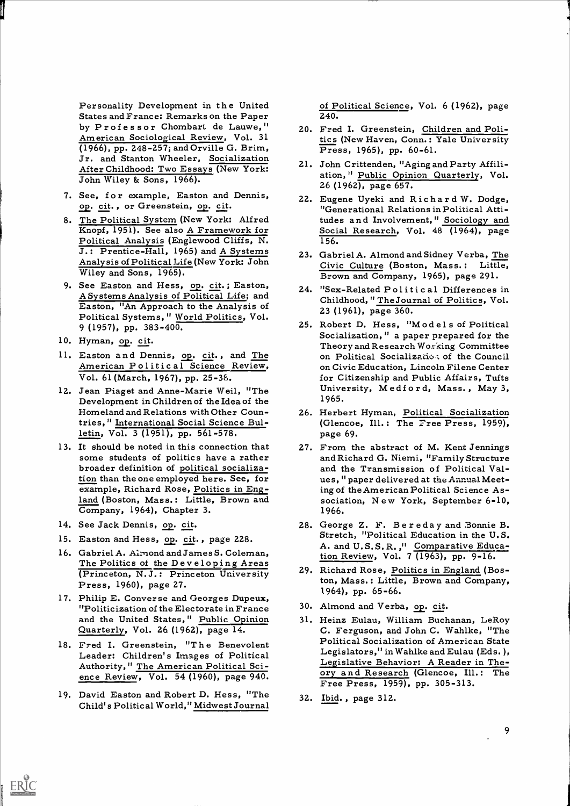Personality Development in the United States and France: Remarks on the Paper by Professor Chombart de Lauwe, " American Sociological Review, Vol. 31 (1966), pp. 248-257; and Orville G. Brim, (1966), pp. 248-257; and Orville G. Brim, Press, 1965), pp. 60-61.<br>Jr. and Stanton Wheeler, Socialization 21. John Crittenden, "Aging and Party Affili-After Childhood: Two Essays (New York: John Wiley & Sons, 1966).

- 7. See, for example, Easton and Dennis, op. cit., or Greenstein, op. cit.
- Political Analysis (Englewood Cliffs, N. J.: Prentice-Hall, 1965) and A Systems Analysis of Political Life (New York: John Wiley and Sons, 1965).
- 9. See Easton and Hess, op. cit.; Easton, A Systems Analysis of Political Life; and Easton, "An Approach to the Analysis of Political Systems, " World Politics, Vol. 9 (1957), pp. 383-400.
- 10. Hyman, op. cit.
- 11. Easton and Dennis, op. cit., and The American Politic al Science Review, Vol. 61 (March, 1967), pp. 25-36.
- 12. Jean Piaget and Anne-Marie Weil, "The Development in Children of the Idea of the Homeland and Relations with Other Countries," International Social Science Bulletin, Vol. 3 (1951), pp. 561-578.
- 13. It should be noted in this connection that some students of politics have a rather broader definition of political socialization than the one employed here. See, for example, Richard Rose, Politics in Eng-Company, 1964), Chapter 3.
- 14. See Jack Dennis, op. cit.

ERIC

- 15. Easton and Hess, op. cit., page 228.
- 16. Gabriel A. Almond and James S. Coleman,<br>The Politics of the Developing Areas (Princeton, N.J.: Princeton University Press, 1960), page 27.
- 17. Philip E. Converse and Georges Dupeux, "Politicization of the Electorate in France
- 18. Fred I. Greenstein, "T he Benevolent Leader: Children's Images of Political Authority," The American Political Sci-<br>ence Review, Vol. 54 (1960), page 940.
- 19. David Easton and Robert D. Hess, "The Child' s Political World," Midwest Journal

of Political Science, Vol. 6 (1962), page 240.

- 20. Fred I. Greenstein, Children and Politics (New Haven, Conn.: Yale University
- ation, " Public Opinion Quarterly, Vol. 26 (1962), page 657.
- 8. The Political System (New York: Alfred Weder at The Political Atti-<br>
Knopf, 1951). See also A Framework for Social Research, Vol. 48 (1964), page 22. Eugene Uyeki and Richard W. Dodge, Social Research, Vol. 48 (1964), page 156.
	- 23. Gabriel A. Almond and Sidney Verba, The Civic Culture (Boston, Mass.: Little, Brown and Company, 1965), page 291.
	- 24. "Sex-Related Political Differences in Childhood, " The Journal of Politics, Vol. 23 (1961), page 360.
	- 25. Robert D. Hess, "Models of Political Socialization, " a paper prepared for the Theory and Research Working Committee on Political Socialization of the Council on Civic Education, Lincoln Filene Center for Citizenship and Public Affairs, Tufts University, Medi o r d, Mass. , May 3, 1965.
	- 26. Herbert Hyman, Political Socialization (Glencoe, Ill.: The Free Press, 1959), page 69.
	- land (Boston, Mass.: Little, Brown and sociation, New York, September 6-10, 27. From the abstract of M. Kent Jennings and Richard G. Niemi, "Family Structure and the Transmission of Political Values, " paper delivered at the Annual Meeting of the American Political Science As-1966.
		- 28. George Z. F. Be r e da y and 3onnie B. Stretch, "Political Education in the U.S. A. and U. S. S. R. ," Comparative Education Review, Vol. 7 (1963), pp. 9-16.
		- 29. Richard Rose, Politics in England (Boston, Mass.: Little, Brown and Company, 1964), pp. 65-66.
		- 30. Almond and Verba, op. cit.
	- and the United States," Public Opinion 31. Heinz Eulau, William Buchanan, LeRoy Quarterly, Vol. 26 (1962), page 14. C. Ferguson, and John C. Wahlke, "The 31. Heinz Eulau, William Buchanan, LeRoy Political Socialization of American State Legislators," in Wahlke and Eulau (Eds.),<br>Legislative Behavior: A Reader in The-<br>ory and Research (Glencoe, Ill.: The Free Press, 1959), pp. 305-313.
		- 32. Ibid. , page 312.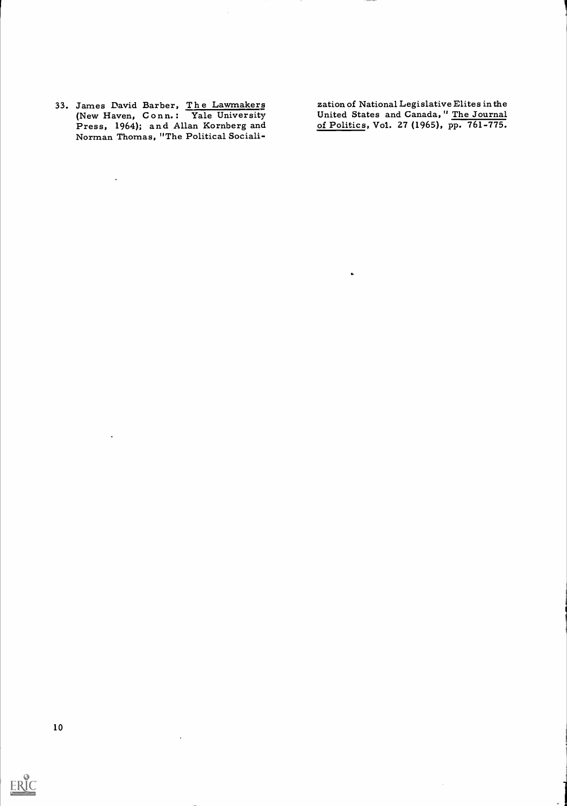33. James David Barber, The Lawmakers<br>(New Haven, Conn.: Yale University Press, 1964); and Allan Kornberg and Norman Thomas, "The Political Sociali-

 $\hat{\mathbf{z}}$ 

 $\ddot{\phantom{1}}$ 

zation of National Legislative Elites in the United States and Canada, " The Journal of Politics, Vol. 27 (1965), pp. 761-775.

 $\mathcal{A}^{\mathcal{A}}$ 

 $\hat{\mathbf{a}}$ 

 $\star$ 

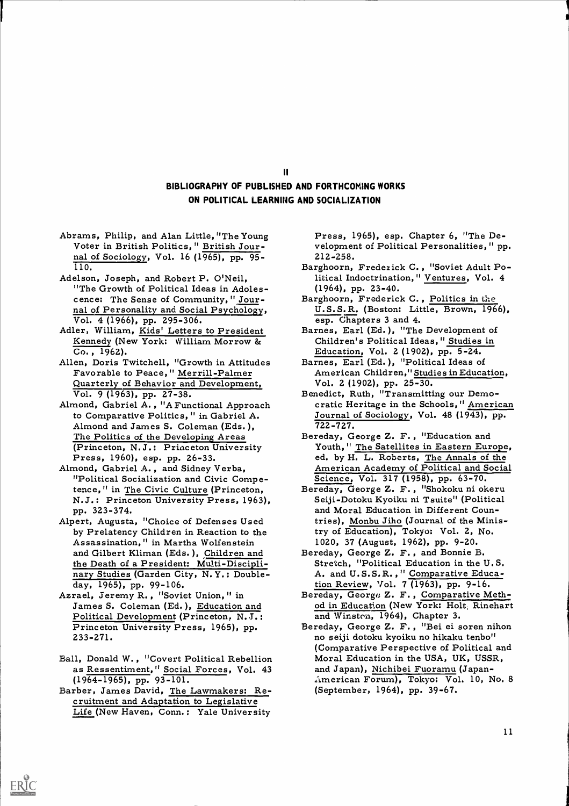# BIBLIOGRAPHY OF PUBLISHED AND FORTHCOMING WORKS ON POLITICAL LEARNING AND SOCIALIZATION

 $\mathbf{II}$ 

- Abrams, Philip, and Alan Little, "The Young Press, 1965), esp. Chapter 6, "The De-<br>Voter in British Politics, "British Jour- velopment of Political Personalities, "pp nal of Sociology, Vol. 16 (1965), pp. 95- 110.
- Adelson, Joseph, and Robert P. O'Neil, "The Growth of Political Ideas in Adolescence: The Sense of Community, " Journal of Personality and Social Psychology,
- Vol. 4 (1966), pp. 295-306. Adler, William, Kids' Letters to President Kennedy (New York: William Morrow & Co. , 1962).
- Allen, Doris Twitchell, "Growth in Attitudes Favorable to Peace," Merrill-Palmer Quarterly of Behavior and Development, Vol. 9 (1963), pp. 27-38.
- Almond, Gabriel A. , "A Functional Approach to Comparative Politics, " in Gabriel A. Almond and James S. Coleman (Eds. ), The Politics of the Developing Areas
- "Political Socialization and Civic Competence," in The Civic Culture (Princeton, N.J.: Princeton University Press, 1963), pp. 323-374.
- Alpert, Augusta, "Choice of Defenses Used by Prelatency Children in Reaction to the Assassination," in Martha Wolfenstein and Gilbert Kliman (Eds.), Children and Bereday, George Z. F., and Bonnie B. the Death of a President: Multi-Disciplinary Studies (Garden City, N. Y.: Double-<br>day, 1965), pp. 99-106.<br>Azrael, Jeremy R., "Soviet Union," in
- James S. Coleman (Ed.), Education and Political Development (Princeton, N.J.: Princeton University Press, 1965), pp. 233-271.
- Ball, Donald W. , "Covert Political Rebellion as Ressentiment, "Social Forces, Vol. 43 and Japan), Nichibei Fuoramu (Japan-(1964-1965), pp. 93-101. Barber, James David, The Lawmakers: Re-
- cruitment and Adaptation to Legislative Life (New Haven, Conn.; Yale University

ERIC

velopment of Political Personalities, " pp. 212-258.

- Barghoorn, Frederick C. , "Soviet Adult Political Indoctrination," Ventures, Vol. 4
- (1964), pp. 23-40. Barghoorn, Frederick C. , Politics in the U. S. S. R. (Boston: Little, Brown, 1966),
- esp. Chapters 3 and 4. Barnes, Earl (Ed. ), "The Development of Children's Political Ideas, " Studies in
- Education, Vol. 2 (1902), pp. 5-24. Barnes, Earl (Ed. ), "Political Ideas of American Children," Studies in Education, Vol. 2 (1902), pp. 25-30.
- Benedict, Ruth, "Transmitting our Democratic Heritage in the Schools," American Journal of Sociology, Vol. 48 (1943), pp. 722-727.
- (Princeton, N.J.: Princeton University Pouth," The Satellites in Eastern Europe,<br>Press, 1960), esp. pp. 26-33. ed. by H. L. Roberts, The Annals of the<br>Almond, Gabriel A., and Sidney Verba, American Academy of Political and Bereday, George Z. F. , "Education and American Academy of Political and Social
	- Bereday, George Z. F., "Shokoku ni okeru Seiji-Dotoku Kyoiku ni Tsuite" (Political and Moral Education in Different Countries), Monbu Jiho (Journal of the Ministry of Education), Tokyo: Vol. 2, No.
	- 1020, 37 (August, 1962), pp. 9-20.<br>reday, George Z. F., and Bonnie B.<br>Stretch, "Political Education in the U.S. A. and U.S.S.R., "Comparative Educa-
	- tion Review, Vol. 7 (1963), pp. 9-16. Bereday, George Z. F. , Comparative Method in Education (New York: Holt, Rinehart and Winston, 1964), Chapter 3. Bereday, George Z. F. , "Bei ei soren nihon
	- no seiji dotoku kyoiku no hikaku tenbo" (Comparative Perspective of Political and Moral Education in the USA, UK, USSR, American Forum), Tokyo: Vol. 10, No. 8 (September, 1964), pp. 39-67.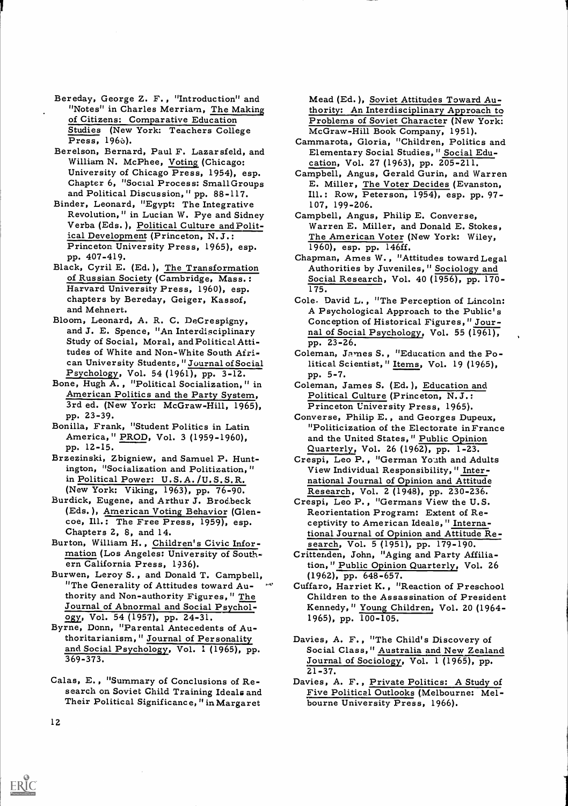- Bereday, George Z. F. , "Introduction" and "Notes" in Charles Merriam, The Making of Citizens: Comparative Education Studies (New York: Teachers College Press, 1966).
- Berelson, Bernard, Paul F. Lazarsfeld, and William N. McPhee, Voting (Chicago: University of Chicago Press, 1954), esp. Chapter 6, "Social Process: Small Groups<br>and Political Discussion, " pp. 88-117.
- Binder, Leonard, "Egypt: The Integrative Revolution, " in Lucian W. Pye and Sidney Verba (Eds.), Political Culture and Political Development (Princeton, N. J.: Princeton University Press, 1965), esp.
- of Russian Society (Cambridge, Mass.: Harvard University Press, 1960), esp. chapters by Bereday, Geiger, Kassof, and Mehnert.
- Bloom, Leonard, A. R. C. DeCrespigny, Conception of Historical Figures, "Jour-<br>and J. E. Spence, "An Interdisciplinary and of Social Psychology, Vol. 55 (1961),<br>Study of Social, Moral, and Political Atti-<br>pp. 23-26. tudes of White and Non-White South African University Students, "Journal of Social Psychology, Vol. 54 (1961), pp. 3-12.
- Bone, Hugh A. , "Political Socialization, " in American Politics and the Party System, 3rd ed. (New York: McGraw-Hill, 1965), pp. 23-39.
- America," PROD, Vol. 3 (1959-1960), pp. 12-15.
- Brzezinski, Zbigniew, and Samuel P. Huntington, "Socialization and Politization, " in Political Power: U.S.A. /U. S. S. R.
- (New York: Viking, 1963), pp. 76-90. Burdick, Eugene, and Arthur J. Brod.beck (Eds.), American Voting Behavior (Glen-<br>coe, Ill.: The Free Press, 1959), esp.<br>Chapters 2, 8, and 14.
- Burton, William H. , Children's Civic Information (Los Angeles: University of South- ern California Press, 1936).
- Burwen, Leroy S., and Donald T. Campbell, (1962), pp. 648-657.<br>"The Generality of Attitudes toward Au- "Unifaro, Harriet K., "I thority and Non-authority Figures, " The Journal of Abnormal and Social Psychology, Vol. 54 (1957), pp. 24-31.
- Byrne, Donn, "Parental Antecedents of Authoritarianism,'" Journal of Personality and Social Psychology, Vol. 1 (1965), pp. 369-373.
- Calas, E., "Summary of Conclusions of Re-<br>search on Soviet Child Training Ideals and Tive Political Outlooks (Melbourne: Mel-<br>Their Political Significance, "in Margaret bourne University Press, 1966).

Mead (Ed. ), Soviet Attitudes Toward Authority: An Interdisciplinary Approach to Problems of Soviet Character (New York:

- McGraw-Hill Book Company, 1951). Cammarota, Gloria, "Children, Politics and Elementary Social Studies, " Social Edu- cation, Vol. 27 (1963), pp. 205-211.
- Campbell, Angus, Gerald Gurin, and Warren<br>E. Miller, <u>The Voter Decides</u> (Evanston,<br>Ill.: Row, Peterson, 1954), esp. pp. 97-<br>107, 199-206.
- Campbell, Angus, Philip E. Converse, Warren E. Miller, and Donald E. Stokes, The American Voter (New York: Wiley,
- Princeton University Press, 1965), esp. 1960, esp. pp. 146ff.<br>pp. 407-419. Black, Cyril E. (Ed. ), The Transformation Black, Cyril E. (Ed. ), The Transformation Authorities by Juveniles, "Sociology and Chapman, Ames W. , "Attitudes toward Legal Social Research, Vol. 40 (1956), pp. 170-175.
	- Cole, David L. , "The Perception of Lincoln: A Psychological Approach to the Public's nal of Social Psychology, Vol. 55 (1961),
	- Coleman, James S. , "Education and the Political Scientist, " Items, Vol. 19 (1965), pp. 5-7.
	- Coleman, James S. (Ed. ), Education and Political Culture (Princeton, N.J.:
- pp. 23-39.<br>Bonilla, Frank, "Student Politics in Latin Funder Converse, Philip E., and Georges Dupeux,<br>Politicization of the Electorate in France. Princeton University Press, 1965).<br>nverse, Philip E., and Georges Dupeux,<br>"Politicization of the Electorate inFrance and the United States, " Public Opinion Quarterly, Vol. 26 (1962), pp. 1-23. Crespi, Leo P., "German Youth and Adults
	- View Individual Responsibility, " International Journal of Opinion and Attitude
	- Research, Vol. 2 (1948), pp. 230-236.<br>Crespi, Leo P., "Germans View the U.S. Reorientation Program: Extent of Re- ceptivity to American Ideals, " International Journal of Opinion and Attitude Re- search, Vol. 5 (1951), pp. 179-190.
	- Crittenden, John, "Aging and Party Affiliation," Public Opinion Quarterly, Vol. 26
	- Cuffaro, Harriet K., "Reaction of Preschool Children to the Assassination of President Kennedy, " Young Children, Vol. 20 (1964- 1965), pp. 100-105.
	- Davies, A. F., "The Child's Discovery of Social Class," Australia and New Zealand Journal of Sociology, Vol. 1 (1965), pp.  $21 - 37.$
	- Five Political Outlooks (Melbourne: Melbourne University Press, 1966).

12

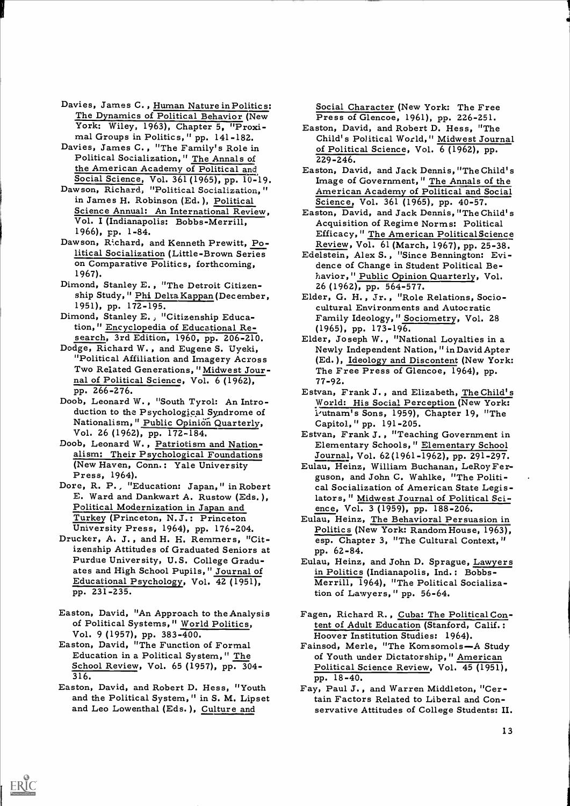- Davies, James C., Human Nature in Politics: The Dynamics of Political Behavior (New Press of Glencoe, 1961), pp. 226-251.
- York: Wiley, 1963), Chapter 5, "Proxi-<br>mal Groups in Politics, " pp. 141-182.<br>Davies, James C., "The Family's Role in<br>Political Socialization, " The Annals of the American Academy of Political and Social Science, Vol. 361(1965), pp. 10-19.
- Dawson, Richard, "Political Socialization, " in James H. Robinson (Ed. ), Political Science Annual: An International Review, Vol. I (Indianapolis: Bobbs-Merrill, 1966), pp. 1-84.
- Dawson, Richard, and Kenneth Prewitt, Political Socialization (Little-Brown Series on Comparative Politics, forthcoming, 1967).
- Dimond, Stanley E. , "The Detroit Citizenship Study, " <u>Phi Delta Kappan</u> (Dec ember, 1951), pp. 172-195.
- Dimond, Stanley E. , "Citizenship Education," Encyclopedia of Educational Re- search, 3rd Edition, 1960, pp. 206-210.
- Dodge, Richard W. , and Eugene S. Uyeki, "Political Affiliation and Imagery Across Two Related Generations, "Midwest Journal of Political Science, Vol. 6 (1962), pp. 266-276.
- Doob, Leonard W. , "South Tyrol: An Introduction to the Psychological Syndrome of Nationalism, "Public Opinion Quarterly,<br>Vol. 26 (1962), pp. 172-184.
- Doob, Leonard W. , Patriotism and Nationalism: Their Psychological Foundations (New Haven, Conn.: Yale University
- Press, 1964).<br>Dore, R. P., "Education: Japan," in Robert<br>E. Ward and Dankwart A. Rustow (Eds.), Political Modernization in Japan and Turkey (Princeton, N. J.: Princeton University Press, 1964), pp. 176-204. Drucker, A. J. , and H. H. Remmers, "Cit-
- izenship Attitudes of Graduated Seniors at Purdue University, U.S. College Graduates and High School Pupils, " Journal of Educational Psychology, Vol. 42 (1951), pp. 231-235.
- Easton, David, "An Approach to the Analysis of Political Systems," World Politics,
- Vol. 9 (1957), pp. 383-400. Easton, David, "The Function of Formal Education in a Political System," The School Review, Vol. 65 (1957), pp. 304- 316. 916. pp. 18-40.<br>Easton, David, and Robert D. Hess, "Youth Fay, Paul J.,
- and the Political System, " in S. M. Lipset and Leo Lowenthal (Eds. ), Culture and

Social Character (New York: The Free

- Easton, David, and Robert D. Hess, "The Child's Political World," Midwest Journal of Political Science, Vol. 6 (1962), pp. 229-246.
- Easton, David, and Jack Dennis, "The Child's Image of Government," The Annals of the American Academy of Political and Social Science, Vol. 361 (1965), pp. 40-57.
- Easton, David, and Jack Dennis, "The Child' s Acquisition of Regime Norms: Political<br>Efficacy, "The American PoliticalScience<br>Review, Vol. 61 (March, 1967), pp. 25-38.
- Edelstein, Alex S., "Since Bennington: Evidence of Change in Student Political Behavior, " Public Opinion Quarterly, Vol.
- 26 (1962), pp. 564-577. Elder, G. H. , Jr. , "Role Relations, Sociocultural Environments and Autocratic Family Ideology, " Sociometry, Vol. 28 (1965), pp. 173-196.
- Elder, Joseph W. , "National Loyalties in a Newly Independent Nation, " in David Apter (Ed.), <u>Ideology and Discontent</u> (New York:<br>The Free Press of Glencoe, 1964), pp. 77-92.
- Estvan, Frank J. , and Elizabeth, The Child's World: His Social Perception (New York: i'utnam's Sons, 1959), Chapter 19, "The Capitol," pp. 191-205.
- Estvan, Frank J. , "Teaching Government in Elementary Schools," Elementary School Journal, Vol. 62(1961-1962), pp. 291-297.
- Eulau, Heinz, William Buchanan, LeRoyFer- guson, and John C. Wahlke, "The Political Socialization of American State Legislators, " Midwest Journal of Political Sci-
- ence, Vol. 3 (1959), pp. 188-206. Eulau, Heinz, The Behavioral Persuasion in Politics (New York: Random House, 1963), esp. Chapter 3, "The Cultural Context, " pp. 62-84.
- Eulau, Heinz, and John D. Sprague, Lawyers in Politics (Indianapolis, Ind. : Bobbs-Merrill, 1964), "The Political Socialization of Lawyers, " pp. 56-64.
- Fagen, Richard R. , Cuba: The Political Content of Adult Education (Stanford, Calif.: Hoover Institution Studies: 1964).
- Fainsod, Merle, "The Komsomols-A Study of Youth under Dictatorship," American Political Science Review, Vol. 45 (1951),
- Fay, Paul J. , and Warren Middleton, "Certain Factors Related to Liberal and Conservative Attitudes of College Students: II.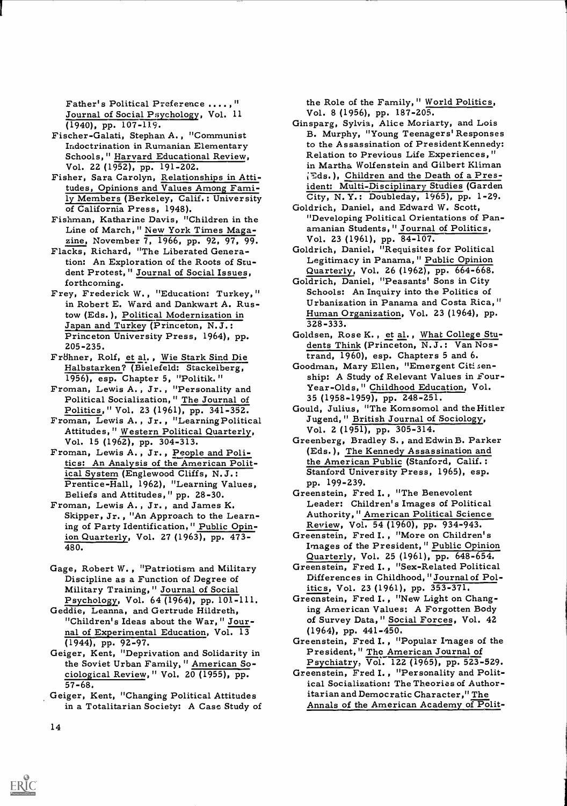Father's Political Preference ....,"<br>Journal of Social Psychology, Vol. 11

- (1940), pp. 107-119. Fischer-Galati, Stephan A. , "Communist Indoctrination in Rumanian Elementary Schools," Harvard Educational Review,
- Vol. 22 (1952), pp. 191-202. Fisher, Sara Carolyn, Relationships in Attitudes, Opinions and Values Among Family Members (Berkeley, Calif.: University City, N.Y.: Doubleday, 1965), pp. 1<br>of California Press, 1948). (Goldrich, Daniel, and Edward W. Scott, of California Press, 1948).
- Fishman, Katharine Davis, "Children in the Line of March, " New York Times Maga-
- zine, November 7, 1966, pp. 92, 97, 99. Flacks, Richard, "The Liberated Generation: An Exploration of the Roots of Stu- dent Protest," Journal of Social Issues,
- in Robert E. Ward and Dankwart A. Rustow (Eds. ), Political Modernization in Japan and Turkey (Princeton, N.J.: Princeton University Press, 1964), pp. 205-235.
- Fr8hner, Rolf, et al. , Wie Stark Sind Die
- Halbstarken? (Bielefeld: Stackelberg, 1956), esp. Chapter 5, "Politik."<br>Froman, Lewis A., Jr., "Personality and Political Socialization," The Journal of
- Politics, " Vol. 23 (1961), pp. 341-352. Froman, Lewis A. , Jr. , "Learning Political Attitudes," Western Political Quarterly,
- Vol. 15 (1962), pp. 304-313.<br>Froman, Lewis A., Jr., <u>People and Poli-</u> tics: An Analysis of the American Political System (Englewood Cliffs, N.J.: Prentice-Hall, 1962), "Learning Values, Beliefs and Attitudes," pp. 28-30. Froman, Lewis A. , Jr. , and James K.
- Skipper, Jr. , "An Approach to the Learning of Party Identification, " Public Opinion Quarterly, Vol. 27 (1963), pp. 473- 480.
- Gage, Robert W., "Patriotism and Military Greenstein, Fred I., "Sex-Related Po<br>Discipline as a Function of Degree of Differences in Childhood, "Journal<br>Military Training," Journal of Social itics, Vol. 23 (1961), pp. 353-3 Military Training, " Journal of Social Psychology, Vol. 64 (1964), pp. 101-111.
- Geddie, Leanna, and Gertrude Hildreth, "Children's Ideas about the War, " Journal of Experimental Education, Vol.  $\overline{13}$  (1964), pp. 441-450.<br>(1944), pp. 92-97.<br>Greenstein, Fred I., "Popular Images of the
- (1944), pp. 92-97. Geiger, Kent, "Deprivation and Solidarity in the Soviet Urban Family, " American Sociological Review, " Vol. 20 (1955), pp. 57-68.
- Geiger, Kent, "Changing Political Attitudes in a Totalitarian Society: A Case Study of

the Role of the Family," World Politics,<br>Vol. 8 (1956), pp. 187-205.

- Ginsparg, Sylvia, Alice Moriarty, and Lois B. Murphy, "Young Teenagers' Responses to the Assassination of President Kennedy: Relation to Previous Life Experiences, " in Martha Wolfenstein and Gilbert Kliman (Eds.), Children and the Death of a President: Multi-Disciplinary Studies (Garden City, N. Y.: Doubleday, 1965), pp. 1-29.
- "Developing Political Orientations of Pan-<br>amanian Students, " Journal of Politics,<br>Vol. 23 (1961), pp. 84-107.
- Goldrich, Daniel, "Requisites for Political
- forthcoming. The Coldrich, Daniel, "Peasants' Sons in City<br>Frey, Frederick W., "Education: Turkey," Schools: An Inquiry into the Politics of Legitimacy in Panama," Public Opinion<br>Quarterly, Vol. 26 (1962), pp. 664-668.<br>Idrich, Daniel, "Peasants' Sons in City<br>Schools: An Inquiry into the Politics of Urbanization in Panama and Costa Rica," Human Organization, Vol. 23 (1964), pp. 328-333.
	- Goldsen, Rose K., et al., What College Stu-<br>dents Think (Princeton, N.J.: Van Nostrand, 1960), esp. Chapters 5 and 6.
	- Goodman, Mary Ellen, "Emergent Citisenship: A Study of Relevant Values in Four-Year-Olds, " Childhood Education, Vol.
	- 35 (1958-1959), pp. 248-251. Gould, Julius, "The Komsomol and the Hitler Jugend, " British. Journal of Sociology, Vol. 2 (1951), pp. 305-314.
	- Greenberg, Bradley S. , and Edwin B. Parker (Eds. ), The Kennedy Assassination and the American Public (Stanford, Calif. : Stanford University Press, 1965), esp. PP. 199-239.
	- Greenstein, Fred I. , "The Benevolent Leader: Children's Images of Political Authority," American Political Science
	- Review, Vol. 54 (1960), pp. 934-943. Greenstein, Fred I. , "More on Children's Images of the President, " Public Opinion<br>Quarterly, Vol. 25 (1961), pp. 648-654.<br>Greenstein, Fred I., "Sex-Related Political
	- Differences in Childhood, "Journal of Pol-
	- Greenstein, Fred I., "New Light on Changing American Values: A Forgotten Body of Survey Data, " Social Forces, Vol. 42
	- (1964), pp. 441-450.<br>eenstein, Fred I., "Popular Images of<br>President," <u>The American Journal of</u>
	- Psychiatry, Vol. 122 (1965), pp. 523-529. Greenstein, Fred I. , "Personality and Political Socialization: The Theories of Authoritarian and Democratic Character," The Annals of the American Academy of Polit-

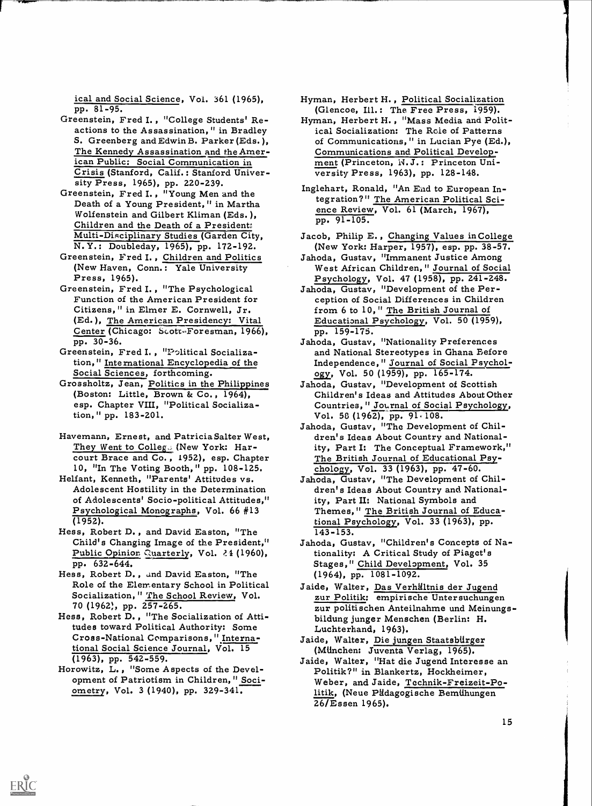- ical and Social Science, Vol. 361 (1965),<br>pp. 81-95.<br>Greenstein, Fred I., "College Students' Re-<br>actions to the Assassination," in Bradley S. Greenberg and Edwin B. Parker (Eds. ), The Kennedy Assassination and the American Public: Social Communication in Crisis (Stanford, Calif.: Stanford Univer-
- sity Press, 1965), pp. 220-239. Greenstein, Fred I. , "Young Men and the Death of a Young President, " in Martha Wolfenstein and Gilbert Kliman (Eds. ), Children and the Death of a President: Multi-Disciplinary Studies (Garden City, N.Y.: Doubleday, 1965), pp. 172-192.<br>Greenstein, Fred I., Children and Politics
- (New Haven, Conn.: Yale University Press, 1965).
- Greenstein, Fred I. , "The Psychological Function of the American President for Citizens, " in Elmer E. Cornwell, Jr. (Ed.), The American Presidency: Vital Center (Chicago: Scott-Foresman, 1966),
- pp. 30-36. Greenstein, Fred I, "P-olitical Socialization," International Encyclopedia of the<br>Social Sciences, forthcoming.<br>Grossholtz, Jean, Politics in the Philippines
- (Boston: Little, Brown & Co., 1964), esp. Chapter VIII, "Political Socialization," pp. 183-201.
- Havemann, Ernest, and Patricia Salter West, They Went to Colleg. (New York: Harcourt Brace and Co. , 1952), esp. Chapter 10, "In The Voting Booth, " pp. 108-125. Helfant, Kenneth, "Parents' Attitudes vs.
- of Adolescents' Socio-political Attitudes," Psychological Monographs, Vol. 66  $#13$ (1952).
- Hess, Robert D. , and David Easton, "The Child's Changing Image of the President," Public Opinion Guarterly, Vol. 24 (1960),
- pp. 632-644. Hess, Robert D. , and David Easton, "The Role of the Elementary School in Political Socialization, " The School Review, Vol. 70 (1962), pp. 257-265.<br>Hess, Robert D., "The Socialization of Atti-
- tudes toward Political Authority: Some Cross-National Comparisons, "International Social Science Journal, Vol. 15 (1963), pp. 542-559.
- Horowitz, L. , "Some Aspects of the Devel- opment of Patriotism in Children, " Sociometry, Vol. 3 (1940), pp. 329-341.

Hyman, Herbert H. , Political Socialization (Glencoe, Ill.: The Free Press, 1959).

1

- Hyman, Herbert H. , "Mass Media and Political Socialization: The Role of Patterns of Communications, " in Lucian Pye (Ed.), Communications and Political Develop- ment (Princeton, N. J.: Princeton University Press, 1963), pp. 128-148.
- Inglehart, Ronald, "An End to European Integration?" The American Political Science Review, Vol. 61 (March, 1967), pp. 91-105.
- Jacob, Philip E. , Changing Values in College (New York: Harper, 1957), esp. pp. 38-57.
- Jahoda, Gustav, "Immanent Justice Among West African Children, " Journal of Social Psychology, Vol. 47 (1958), pp. 241-248.
- Jahoda, Gustav, "Development of the Perception of Social Differences in Children from 6 to 10, " The British Journal of Educational Psychology, Vol. 50 (1959), pp. 159-175.
- Jahoda, Gustav, "Nationality Preferences and National Stereotypes in Ghana Before Independence, " Journal of Social Psychology., Vol. 50 (1959), pp. 165-174.
- Jahoda, Gustav, "Development of Scottish Children's Ideas and Attitudes About Other Countries, " Journal of Social Psychology,<br>Vol. 58 (1962), pp. 91.108.
- Jahoda, Gustav, "The Development of Children's Ideas About Country and Nationality, Part I: The Conceptual Framework," The British Journal of Educational Psychology, Vol. 33 (1963), pp. 47-60.
- Adolescent Hostility in the Determination **Exercise 1 and Solut** Country and National-Jahoda, Gustav, "The Development of Chility, Part II: National Symbols and Themes," The British Journal of Educational Psychology, Vol. 33 (1963), pp. 143-153.
	- Jahoda, Gustav, "Children's Concepts of Nationality: A Critical Study of Piaget's Stages," Child Development, Vol. 35 (1964), pp. 1081-1092.
	- Jaide, Walter, Das Verhältnis der Jugend zur Politik: empirische Untersuchungen zur politischen Anteilnahme und Meinungsbildung junger Menschen (Berlin: H. Luchterhand, 1963).
	- Jaide, Walter, Die jungen Staatsblirger
	- (Mlinchen: Juventa Verlag, 1965). Jaide, Walter, "Hat die Jugend Interesse an Politik?" in Blankertz, Hockheimer, Weber, and Jaide, Technik-Freizeit-Politik, (Neue Pädagogische Bemühungen 26/Essen 1965).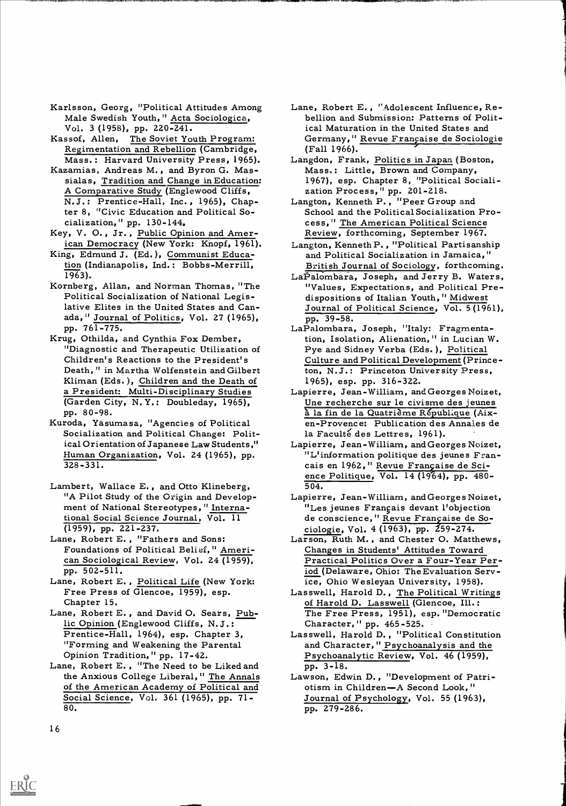- Karlsson, Georg, "Political Attitudes Among Male Swedish Youth," Acta Sociologica, Vol. 3 (1958), pp. 220-241. Kassof, Allen, The Soviet Youth Program:
- Regimentation and Rebellion (Cambridge, Mass.: Harvard University Press, 1965).<br>Kazamias, Andreas M., and Byron G. Mas-
- sialas, Tradition and Change in Education: A Comparative Study (Englewood Cliffs, N.J.: Prentice-Hall, Inc. , 1965), Chapter 8, "Civic Education and Political So-
- cialization," pp. 130-144.<br>Key, V. O., Jr., Public Opinion and American Democracy (New York: Knopf, 1961).
- King, Edmund J. (Ed.), Communist Education (Indianapolis, Ind.: Bobbs-Merrill, 1963).
- Political Socialization of National Legislative Elites in the United States and Canada, " Journal of Politics, Vol. 27 (1965), pp. 761-775. Krug, Othilda, and Cynthia Fox Dember,
- "Diagnostic and Therapeutic Utilization of Children's Reactions to the President's Death, " in Martha Wolfenstein and Gilbert Kliman (Eds.), Children and the Death of (Garden City, N. Y.: Doubleday, 1965), pp. 80-98.
- Kuroda, Yasumasa, "Agencies of Political Socialization and Political Change: Political Orientation of Japanese Law Students," Human Organization, Vol. 24 (1965), pp. 328-331.
- Lambert, Wallace E., and Otto Klineberg, "A Pilot Study of the Origin and Development of National Stereotypes, " International Social Science Journal, Vol. 11
- (1959), pp. 221-237. Lane, Robert E. , "Fathers and Sons: Foundations of Political Belief," American Sociological Review, Vol. 24 (1959),
- pp. 502-511.<br>Lane, Robert E., Political Life (New York: Free Press of Glencoe, 1959), esp.
- Chapter 15. Lane, Robert E. , and David 0. Sears, Public Opinion (Englewood Cliffs, N.J.:<br>Prentice-Hall, 1964), esp. Chapter 3,<br>"Forming and Weakening the Parental<br>Opinion Tradition," pp. 17-42.
- Lane, Robert E., "The Need to be Liked and pp. 3-18. the Anxious College Liberal," The Annals of the American Academy of Political and botism in Children-A Second Look," Social Science, Vol. 361 (1965), pp. 71- 80.
- Lane, Robert E. , ".Adolescent Influence, Rebellion and Submission: Patterns of Political Maturation in the United States and Germany, " Revue Française de Sociologie (Fall 1966).
- Langdon, Frank, <u>Politics in Japan</u> (Boston,<br>Mass.: Little, Brown and Company,<br>1967), esp. Chapter 8, "Political Sociali-<br>zation Process," pp. 201-218.<br>Langton, Kenneth P., "Peer Group and<br>School and the Political Socializ
- cess," The American Political Science Review, forthcoming, September 1967.
- Langton, Kenneth P. , "Political Partisanship and Political Socialization in Jamaica," British Journal of Sociology, forthcoming.
- Kornberg, Allan, and Norman Thomas, "The LaPalombara, Joseph, and Jerry B. Waters, dispositions of Italian Youth," Midwest Journal of Political Science, Vol. 5 (1961),
	- pp. 39-58. LaPalombara, Joseph, "Italy: Fragmentation, Isolation, Alienation, " in Lucian W. Pye and Sidney Verba (Eds. ), Political Culture and Political Development (Princeton, N.J.: Princeton University Press, 1965), esp. pp. 316-322.
	- a President: Multi-Disciplinary Studies Lapierre, Jean-William, and Georges Noizet, Une recherche sur le civisme des jeunes<br>
	à la fin de la Quatrième République (Aix-<br>
	en-Provence: Publication des Annales de
		- la Faculté des Lettres, 1961).<br>Lapierre, Jean-William, and Georges Noizet,<br>"L'information politique des jeunes Fran-<br>cais en 1962," Revue Française de Science Politique, Vol. 14 (1964), pp. 480- 504.
		- Lapierre, Jean-William, and Georges Noizet,<br>"Les jeunes Français devant l'objection<br>de conscience," Revue Française de So-
		- ciologie, Vol. 4 (1963), pp. Z59-274. Larson, Ruth M. , and Chester 0. Matthews, Changes in Students' Attitudes Toward Practical Politics Over a Four-Year Period (Delaware, Ohio: The Evaluation Service, Ohio Wesleyan University, 1958).
		- Las swell, Harold D. , The Political Writings of Harold D. Lasswell (Glencoe, Ill.: The Free Press, 1951), esp. "Democratic Character," pp. 465-525.
		- Lasswell, Harold D. , "Political Constitution and Character, " Psychoanalysis and the Psychoanalytic Review, Vol. 46 (1959),
		- Lawson, Edwin D., "Development of Patri-Journal of Psychology, Vol. 55 (1963), pp. 279-286.

16

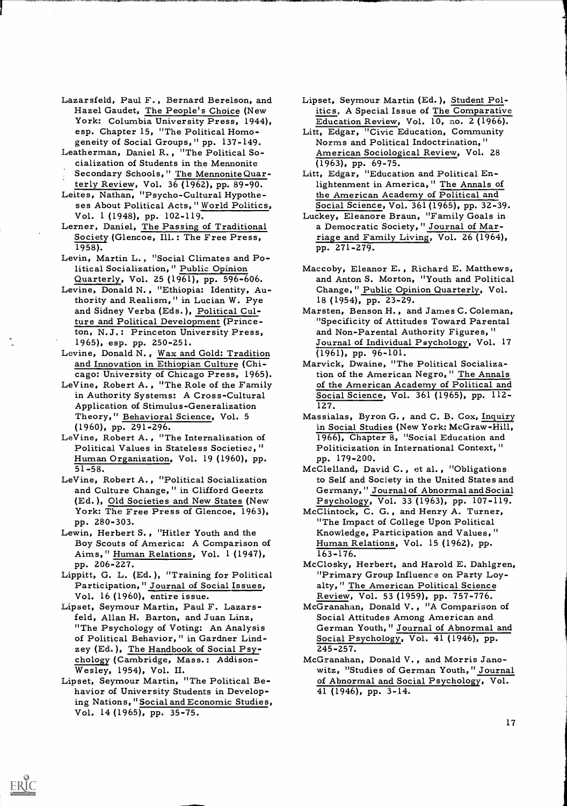- Lazarsfeld, Paul F. , Bernard Berelson, and Hazel Gaudet, The People's Choice (New York: Columbia University Press, 1944), esp. Chapter 15, "The Political Homo- geneity of Social Groups," pp. 137-149. Leatherman, Daniel R. , "The Political So-
- cialization of Students in the Mennonite Secondary Schools," The Mennonite Quar-
- terly Review, Vol. 36 (1962), pp. 89-90. Leites, Nathan, "Psycho-Cultural Hypothe-
- ses About Political Acts," World Politics,
- Vol. 1 (1948), pp. 102-119.<br>Lerner, Daniel, <u>The Passing of Traditional</u><br>Society (Glencoe, Ill.: The Free Press, 1958).
- Levin, Martin L. , "Social Climates and Political Socialization, " Public Opinion Quarterly, Vol. 25 (1961), pp. 596-606.
- Levine, Donald N., "Ethiopia: Identity, Authority and Realism," in Lucian W. Pye and Sidney Verba (Eds.), Political Culture and Political Development (Princeton, N.J.: Princeton University Press, 1965), esp. pp. 250-251.
- Levine, Donald N. , Wax and Gold: Tradition and Innovation in Ethiopian Culture (Chi- cago: University of Chicago Press, 1965).
- LeVine, Robert A. , "The Role of the Family in Authority Systems: A Cross-Cultural Application of Stimulus-Generalization Theory," Behavioral Science, Vol. 5 (1960), pp. 291-296.
- LeVine, Robert A. , "The Internalization of Political Values in Stateless Societies, " Human Organization, Vol. 19 (1960), pp. 51-58.
- LeVine, Robert A., "Political Socialization and Culture Change, " in Clifford Geertz (Ed. ), Old Societies and New States (New York: The Free Press of Glencoe, 1963), pp. 280-303.
- Lewin, Herbert S. , "Hitler Youth and the Boy Scouts of America: A Comparison of Aims," Human Relations, Vol. 1 (1947),
- pp. 206-227.<br>Lippitt, G. L. (Ed.), "Training for Political<br>Participation," Journal of Social Issues,<br>Vol. 16 (1960), entire issue.
- Lipset, Seymour Martin, Paul F. Lazarsfeld, Allan H. Barton, and Juan Linz, "The Psychology of Voting: An Analysis of Political Behavior, " in Gardner Lindzey (Ed. ), The Handbook of Social Psy-
- chology (Cambridge, Mass.: Addison- Wesley, 1954), Vol. II. Lipset, Seymour Martin, "The Political Be- havior of University Students in Developing Nations, "Social and Economic Studies, Vol. 14 (1965), pp. 35-75.

- Lipset, Seymour Martin (Ed. ), Student Politics, A Special Issue of The Comparative Education Review, Vol. 10, no. 2 (1966).
- Litt, Edgar, "Civic Education, Community Norms and Political Indoctrination, " American Sociological Review, Vol. 28
- $(1963)$ , pp. 69-75.<br>Litt, Edgar, "Education and Political Enlightenment in America," The Annals of the American Academy of Political and
- Social Science, Vol. 361 (1965), pp. 32-39. Luckey, Eleanore Braun, "Family Goals in a Democratic Society, " Journal of Marriage and Family Living, Vol. 26 (1964), pp. 271-279.
- Maccoby, Eleanor E. , Richard E. Matthews, and Anton S. Morton, "Youth and Political Change," Public Opinion Quarterly, Vol. 18 (1954), pp. 23-29.
- Marsten, Benson H. , and James C. Coleman, "Specificity of Attitudes Toward Parental and Non-Parental Authority Figures, " Journal of Individual Psychology, Vol. 17 (1961), pp. 96-101.
- Marvick, Dwaine, "The Political Socialization of the American Negro, " The Annals of the American Academy of Political and Social Science, Vol. 361 (1965), pp. 112- 127.
- Massialas, Byron G. , and C. B. Cox, Inquiry in Social Studies (New York: McGraw-Hill, 1966), Chapter 8, "Social Education and Politicization in International Context," pp. 179-200.
- McClelland, David C. , et al. , "Obligations to Self and Society in the United States and Germany, " Journal of Abnormal and Social
- Psychology, Vol. 33 (1963), pp. 107-119. McClintock, C. G. , and Henry A. Turner, "The Impact of College Upon Political Knowledge, Participation and Values, " Human Relations, Vol. 15 (1962), pp. 163-176.
- McClosky, Herbert, and Harold E. Dahlgren, "Primary Group Influence on Party Loyalty, " The American Political Science Review, Vol. 53 (1959), pp. 757-776.
- McGranahan, Donald V. , "A Comparison of Social Attitudes Among American and German Youth," Journal of Abnormal and Social Psychology, Vol. 41 (1946), pp. 245-257.
- McGranahan, Donald V. , and Morris Janowitz, "Studies of German Youth," Journal of Abnormal and Social Psychology, Vol. 41 (1946), pp. 3-14.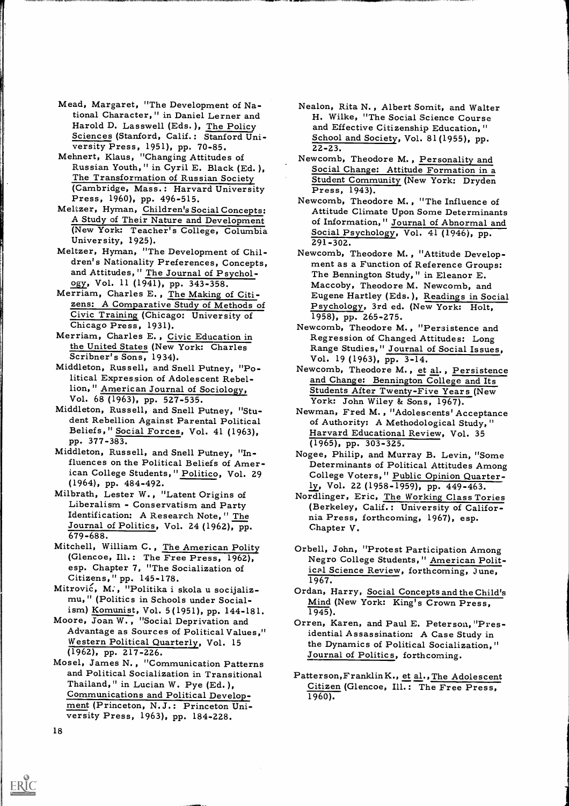- Mead, Margaret, "The Development of National Character," in Daniel Lerner and<br>Harold D. Lasswell (Eds.), The Policy Sciences (Stanford, Calif.: Stanford Uni-<br>versity Press, 1951), pp. 70-85.<br>Mehnert, Klaus, "Changing Attitudes of
- Russian Youth, " in Cyril E. Black (Ed. ), The Transformation of Russian Society (Cambridge, Mass.: Harvard University Press, 1943).<br>Press, 1960), pp. 496-515. Newcomb, Theod
- Meltzer, Hyman, Children's Social Concepts: A Study of Their Nature and Development (New York: Teacher's College, Columbia University, 1925).
- 
- Meltzer, Hyman, "The Development of Chil-<br>dren's Nationality Preferences, Concepts,<br>and Attitudes," The Journal of Psychol-<br>ogy, Vol. 11 (1941), pp. 343-358.<br>Merriam, Charles E., The Making of Citi-<br>zens: A Comparative Stu
- the United States (New York: Charles Scribner's Sons, 1934).
- Middleton, Russell, and Snell Putney, "Political Expression of Adolescent Rebellion, " American Journal of Sociology, Vol. 68 (1963), pp. 527-535.
- Middleton, Russell, and Snell Putney, "Stu- dent Rebellion Against Parental Political Beliefs," Social Forces, Vol. 41 (1963), pp. 377-383.
- Middleton, Russell, and Snell Putney, "Influences on the Political Beliefs of Amer-(1964), pp. 484-492.
- Milbrath, Lester W. , "Latent Origins of Liberalism Conservatism and Party Identification: A Research Note, " The Journal of Politics, Vol. 24 (1962), pp.<br>679-688.
- Mitchell, William C., The American Polity<br>(Glencoe, Ill.: The Free Press, 1962),
- esp. Chapter 7, "The Socialization of<br>Citizens," pp. 145-178.<br>Mitrović, M., "Politika i skola u socijaliz-<br>mu," (Politics in Schools under Social-
- ism) Komunist, Vol. 5(1951), pp. 144-181. 1945).<br>Moore, Joan W., "Social Deprivation and Advantage as Sources of Political Values," idential Western Political Quarterly, Vol. 15 (1962), pp. 217-226.
- Mosel, James N. , "Communication Patterns and Political Socialization in Transitional Thailand," in Lucian W. Pye (Ed. ), Communications and Political Develop- ment (Princeton, N.J.: Princeton Uni- versity Press, 1963), pp. 184-228.
- Nealon, Rita N. , Albert Somit, and Walter H. Wilke, "The Social Science Course and Effective Citizenship Education, " School and Society, Vol. 81(1955), pp. 22-23.
- Newcomb, Theodore M. , Personality and Social Change: Attitude Formation in <sup>a</sup> Student Community (New York: Dryden
- Newcomb, Theodore M. , "The Influence of Attitude Climate Upon Some Determinants of Information," Journal of Abnormal and Social Psychology, Vol. 41 (1946), pp. 291-302.
- Newcomb, Theodore M. , "Attitude Develop- ment as a Function of Reference Groups: The Bennington Study, " in Eleanor E. Maccoby, Theodore M. Newcomb, and Eugene Hartley (Eds.), Readings in Social Psychology, 3rd ed. (New York: Holt, 1958), pp. 265-275.
- Newcomb, Theodore M. , "Persistence and Regression of Changed Attitudes: Long<br>Range Studies," Journal of Social Issues,<br>Vol. 19 (1963), pp. 3-14.
- Newcomb, Theodore M., et al., Persistence and Change: Bennington College and Its Students After Twenty-Five Years (New York: John Wiley & Sons, 1967).
- Newman, Fred M. , "Adolescents' Acceptance of Authority: A Methodological Study, " Harvard Educational Review, Vol. 35 (1965), pp. 303-325.
- fluences on the Political Beliefs of Amer-<br>ican College Students," Politico, Vol. 29 College Voters," Public Opinion Quarter-Nogee, Philip, and Murray B. Levin, "Some College Voters," Public Opinion Quarter-<br>ly, Vol. 22 (1958-1959), pp. 449-463.
	- Nordlinger, Eric, The Working Class Tories (Berkeley, Calif.: University of Califor- nia Press, forthcoming, 1967), esp. Chapter V.
	- Orbell, John, "Protest Participation Among Negro College Students," American Political Science Review, forthcoming, June, 1967.
	- Ordan, Harry, Social Concepts and the Child's Mind (New York: King's Crown Press,
	- Orren, Karen, and Paul E. Peterson, "Presidential Assassination: A Case Study in the Dynamics of Political Socialization," Journal of Politics, forthcoming.
	- Patterson,FranklinK., et al., The Adolescent Citizen (Glencoe, Ill.: The Free Press, 1960).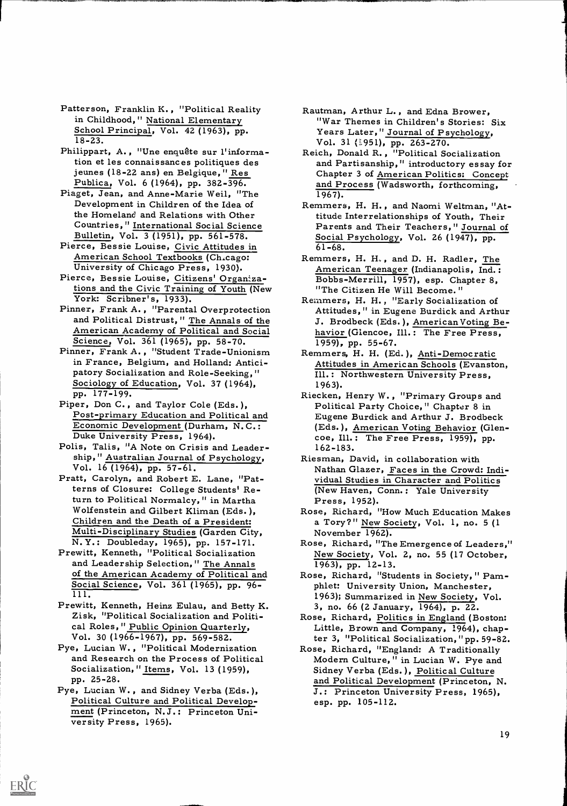- Patterson, Franklin K., "Political Reality in Childhood, " National Elementary School Principal, Vol. 42 (1963), pp. 18-23.
- Philippart, A., "Une enquête sur l'information et les connaissances politiques des jeunes (18-22 ans) en Belgique," Res Publica, Vol. 6 (1964), pp. 382-396.
- Piaget, Jean, and Anne-Marie Weil, "The Development in Children of the Idea of the Homeland and Relations with Other Countries," International Social Science
- Bulletin, Vol. 3 (1951), pp. 561-578. Pierce, Bessie Louise, Civic Attitudes in American School Textbooks (Ch.cago:
- University of Chicago Press, 1930). Pierce, Bessie Louise, Citizens' Organizations and the Civic Training of Youth (New York: Scribner's, 1933).<br>York: Scribner's, 1933). Remmers, H. H., "Early Socializ
- and Political Distrust, " The Annals of the
- in France, Belgium, and Holland: Anticipatory Socialization and Role-Seeking," Sociology of Education, Vol. 37 (1964), pp. 177-199.
- Economic Development (Durham, N.C.:<br>Duke University Press, 1964).<br>Polis, Talis, "A Note on Crisis and Leader-
- ship," Australian Journal of Psychology, Vol. 16 (1964), pp. 57-61. Pratt, Carolyn, and Robert E. Lane, "Pat-
- terns of Closure: College Students' Return to Political Normalcy, " in Martha Wolfenstein and Gilbert Kliman (Eds. ), Children and the Death of a President: Multi-Disciplinary Studies (Garden City, N. Y.: Doubleday, 1965), pp. 157-171.<br>Prewitt, Kenneth, "Political Socialization
- and Leadership Selection," The Annals and Leadership Selection," The Annals (1963), pp. 12-13.<br>
of the American Academy of Political and (1965), pp. 96-<br>
Social Science, Vol. 361 (1965), pp. 96-<br>
phlet: University Union, Manchester, 111.
- Prewitt, Kenneth, Heinz Eulau, and Betty K. Zisk, "Political Socialization and Political Roles, " Public Opinion Quarterly, Vol. 30 (1966-1967), pp. 569-582.
- Pye, Lucian W. , "Political Modernization and Research on the Process of Political Socialization," Items, Vol. 13 (1959), pp. 25-28.
- Pye, Lucian W., and Sidney Verba (Eds.),<br>Political Culture and Political Develop-<br>ment (Princeton, N.J.: Princeton Uni-<br>versity Press, 1965).

- Rautman, Arthur L. , and Edna Brower, "War Themes in Children's Stories: Six Years Later," Journal of Psychology, Vol. 31 (1951), pp. 263-270.
- Reich, Donald R., "Political Socialization<br>and Partisanship," introductory essay for Chapter 3 of <u>American Politics:</u> Concept and Process (Wadsworth, forthcoming, 1967).
- Remmers, H. H., and Naomi Weltman, "At-<br>titude Interrelationships of Youth, Their Parents and Their Teachers," Journal of Social Psychology, Vol. 26 (1947), pp.<br>61-68.
- Remmers, H. H., and D. H. Radler, The American Teenager (Indianapolis, Ind.: Bobbs-Merrill, 1957), esp. Chapter 8,
- Pinner, Frank A., "Parental Overprotection Attitudes," in Eugene Burdick and Arthur American Academy of Political and Social Mavior (Glencoe, Ill.: The Free Press,<br>Science, Vol. 361 (1965), pp. 58-70. 1959), pp. 55-67.<br>Pinner, Frank A., "Student Trade-Unionism Remmers, H. H. (Ed.). Anti-Democratic Remmers, H. H., "Early Socialization of J. Brodbeck (Eds.), American Voting Be-
	- Remmers, H. H. (Ed. ), Anti-Democratic Attitudes in American Schools (Evanston, Ill.: Northwestern University Press, 1963).
- pp. 177-199.<br>
Piper, Don C., and Taylor Cole (Eds.), Riecken, Henry W., "Primary Groups and<br>
Post-primary Education and Political and Eugene Burdick and Arthur J. Brodbeck Eugene Burdick and Arthur J. Brodbeck (Eds.), American Voting Behavior (Glen- coe, Ill.: The Free Press, 1959), pp. 162-183.
	- Riesman, David, in collaboration with Nathan Glazer, Faces in the Crowd: Individual Studies in Character and Politics (New Haven, Conn.: Yale University Press, 1952).
	- Rose, Richard, "How Much Education Makes a Tory?" New Society, Vol. 1, no. 5 (1 November 1962).
	- Rose, Richard, "The Emergence of Leaders," New Society, Vol. 2, no. 55 (17 October,
	- Rose, Richard, "Students in Society," Pam-<br>phlet: University Union, Manchester,<br>1963); Summarized in New Society, Vol.
	- 3, no. 66 (2 January, 1964), p. 22.<br>Rose, Richard, Politics in England (Boston: Little, Brown and Company, 1964), chap-<br>ter 3, "Political Socialization," pp. 59-82.
	- Rose, Richard, "England: A Traditionally Modern Culture, " in Lucian W. Pye and Sidney Verba (Eds.), Political Culture and Political Development (Princeton, N. J.: Princeton University Press, 1965), esp. pp. 105-112.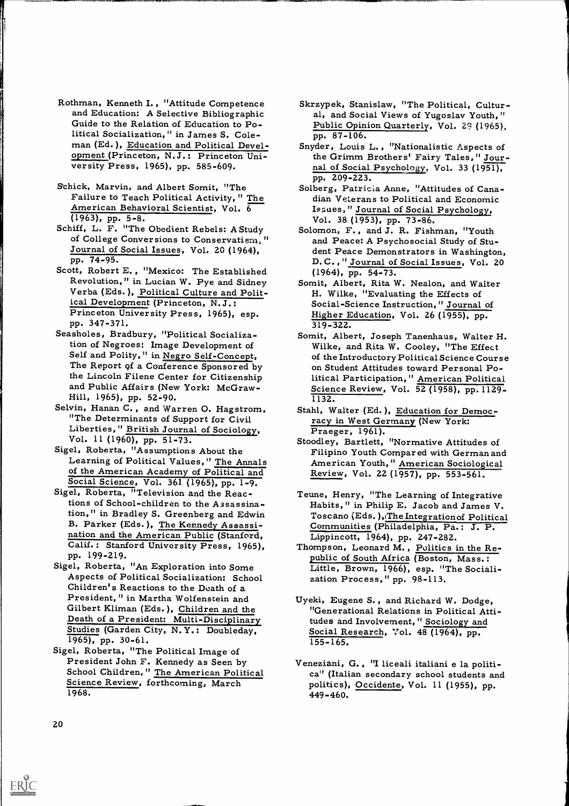- Rothman, Kenneth I. , "Attitude Competence and Education: A Selective Bibliographic Guide to the Relation of Education to Political Socialization," in James S. Coleman (Ed. ), Education and Political Development (Princeton, N.J.: Princeton Uni- versity Press, 1965), pp. 585-609.
- Schick, Marvin, and Albert Somit, "The Failure to Teach Political Activity, " The American Behavioral Scientist, Vol. 6  $(1963)$ , pp. 5-8.
- (1963), pp. 5-8.<br>Schiff, L. F. "The Obedient Rebels: A Study Solomon, F., and J. R. Fish<br>of College Conversions to Conservatism," and Peace: A Psychosocial Journal of Social Issues, Vol. 20 (1964), pp. 74-95.
- Scott, Robert E., "Mexico: The Established<br>Revolution," in Lucian W. Pye and Sidney Verba (Eds.), Political Culture and Polit-<br>ical Development (Princeton, N.J.: Princeton University Press, 1965), esp. pp. 347-371.
- Seasholes, Bradbury, "Political Socialization of Negroes: Image Development of Self and Polity, " in Negro Self-Concept, The Report of a Conference Sponsored by the Lincoln Filene Center for Citizenship and Public Affairs (New York: McGraw-
- Hill, 1965), pp. 52-90.<br>Selvin, Hanan C., and Warren O. Hagstrom, "The Determinants of Support for Civil<br>Liberties, " British Journal of Sociology, Vol. 11 (1960), pp. 51-73.
- Sigel, Roberta, "Assumptions About the<br>Learning of Political Values," The Annals
- Social Science, Vol. 361 (1965), pp. 1-9. Sigel, Roberta, "Television and the Reactions of School-children to the Assassination," in Bradley S. Greenberg and Edwin Foscano (Eds. ), The Integration of Politic<br>B. Parker (Eds. ), The Kennedy Assassi- Communities (Philadelphia, Pa.: J. P. nation and the American Public (Stanford, Calif. : Stanford University Press, 1965), pp. 199-219.
- Sigel, Roberta, "An Exploration into Some Aspects of Political Socialization: School Children's Reactions to the Death of a President," in Martha Wolfenstein and Uyeki, Eugene S., and Richard W. Dodge, Gilbert Kliman (Eds. ), Children and the Death of a President: Multi-Disciplinary Studies (Garden City, N.Y.: Doubleday,<br>1965), pp. 30-61.
- Sigel, Roberta, "The Political Image of<br>President John F. Kennedy as Seen by<br>School Children," <u>The Am</u>erican Political Science Review, forthcoming, March 1968.
- Skrzypek, Stanislaw, "The Political, Cultur- al, and Social Views of Yugoslav Youth," Public Opinion Quarterly, Vol. 29 (1965), pp. 87-106.
- Snyder, Louis L. , "Nationalistic Aspects of the Grimm Brothers' Fairy Tales, " Journal of Social Psychology, Vol. 33 (1951), pp. 209-223.
- Solberg, Patricia Anne, "Attitudes of Cana- dian Veterans to Political and Economic Issues," Journal of Social Psychology,
- Solomon, F. , and J. R. Fishman, "Youth and Peace: A Psychosocial Study of Student Peace Demonstrators in Washington, D.C., " Journal of Social Issues, Vol. 20 (1964), pp. 54-73.
- Somit, Albert, Rita W. Nealon, and Walter H. Wilke, "Evaluating the Effects of Social-Science Instruction, " Journal of Higher Education, Vol. 26 (1955), pp. 319-322.
- Somit, Albert, Joseph Tanenhaus, Walter H. Wilke, and Rita W. Cooley, "The Effect of the Introductory Political Science Course on Student Attitudes toward Personal Political Participation, " American Political Science Review, Vol. 52 (1958), pp. 1129- 1132.
- Stahl, Walter (Ed.), Education for Democracy in West Germany (New York: Praeger, 1961).
- Learning of Political Values," The Annals (a) American Youth," American Sociological<br>of the American Academy of Political and (1988) Review, Vol. 22 (1957), pp. 553-561. Stoodley, Bartlett, "Normative Attitudes of Filipino Youth Compared with German and Review, Vol. 22 (1957), pp. 553-561.
	- Teune, Henry, "The Learning of Integrative Habits," in Philip E. Jacob and James V. Toscano (Eds. ), The Integration of Political<br>Communities (Philadelphia, Pa.: J. P.<br>Lippincott, 1964), pp. 247-282.
	- Thompson, Leonard M., Politics in the Republic of South Africa (Boston, Mass.: Little, Brown, 1966), esp. "The Sociali- zation Process," pp. 98-113.
	- "Generational Relations in Political Attitudes and Involvement," Sociology and Social Research, Vol. 48 (1964), pp. 155-165.
	- Veneziani, G. , "I liceali italiani e la politi- ca" (Italian secondary school students and politics), Occidente, Vol. 11 (1955), pp. 449-460.

20

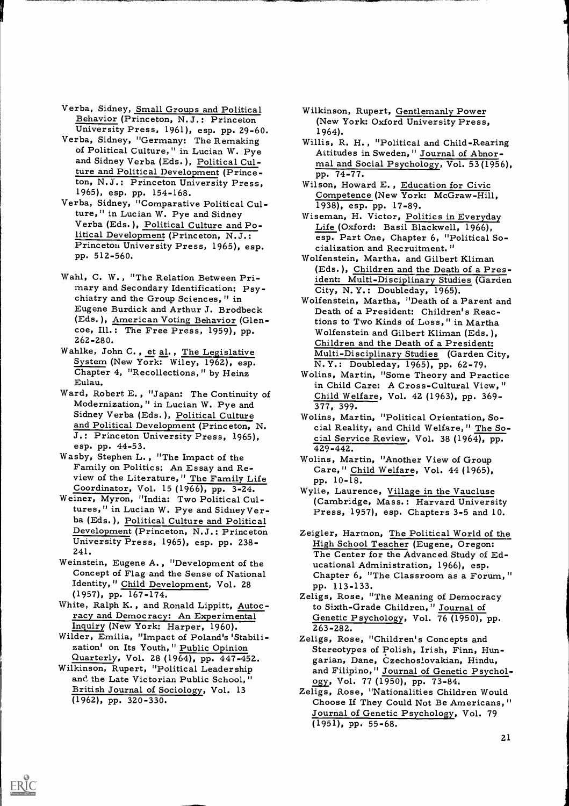- Verba, Sidney, <u>Small Groups and Political</u> Wilkinson, Rupert, <u>Gentlemanly Power</u><br>Behavior (Princeton, N.J.: Princeton (New York: Oxford University Press, 1961), esp. pp. 29-60. 1964).<br>Verba, Sidney, "Germany: The Remakin
- of Political Culture," in Lucian W. Pye and Sidney Verba (Eds.), Political Culture and Political Development (Princeton, N.J.: Princeton University Press, 1965), esp. pp. 154-168.
- Verba, Sidney, "Comparative Political Culture," in Lucian W. Pye and Sidney Verba (Eds. ), Political Culture and Political Development (Princeton, N.J.:<br>Princeton University Press, 1965), esp.<br>pp. 512-560.
- Wahl, C. W. , "The Relation Between Primary and Secondary Identification: Psychiatry and the Group Sciences, " in Eugene Burdick and Arthur J. Brodbeck (Eds.), American Voting Behavior (Glen-<br>coe, Ill.: The Free Press, 1959), pp. 262-280.
- Wahlke, John C., et al., The Legislative Multi-Disciplinary Studies (Garden City, System (New York: Wiley, 1962), esp.  $N, Y$ .: Doubleday, 1965), pp. 62-79.<br>Chapter 4, "Recollections," by Heinz Wolins, Martin, "Some Theory
- Ward, Robert E., "Japan: The Continuity of<br>Modernization," in Lucian W. Pye and<br>Sidney Verba (Eds.), <u>Political Culture</u> and Political Development (Princeton, N. J.: Princeton University Press, 1965), esp. pp. 44-53.
- esp. pp. 44-53. 429-442.<br>
Wasby, Stephen L., "The Impact of the Wolins, Mart<br>
Family on Politics: An Essay and Re-<br>
view of the Literature," The Family Life Care," Ch<br>
Coordinator, Vol. 15 (1966), pp. 3-24. Wylie, Laure<br>
W
- tures," in Lucian W. Pye and SidneyVerba (Eds. ), Political Culture and Political
- Weinstein, Eugene A. , "Development of the Concept of Flag and the Sense of National Identity, " Child Development, Vol. 28
- (1957), pp. 167-174.<br>White, Ralph K., and Ronald Lippitt, Autocracy and Democracy: An Experimental Inquiry (New York: Harper, 1960).
- Wilder, Emilia, "Impact of Poland's 'Stabili- Zeligs, Rose, "Children's Concepts and<br>zation' on Its Youth," Public Opinion Stereotypes of Polish, Irish, Finn, H
- Quarterly, Vol. 28 (1964), pp. 447-452. Wilkinson, Rupert, "Political Leadership and the Late Victorian Public School," British Journal of Sociology, Vol. 13 (1962), pp. 320-330.

- Wilkinson, Rupert, Gentlemanly Power (New York: Oxford University Press, 1964).
- Attitudes in Sweden, "Journal of Abnormal and Social Psychology, Vol. 53 (1956), pp. 74-77.
- Wilson, Howard E. , Education for Civic Competence (New York: McGraw-Hill, 1938), esp. pp. 17-89.
- Wiseman, H. Victor, Politics in Everyday Life (Oxford: Basil Blackwell, 1966), esp. Part One, Chapter 6, "Political So- cialization and Recruitment."
- Wolfenstein, Martha, and Gilbert Kliman (Eds. ), Children and the Death of a President: Multi-Disciplinary Studies (Garden City, N. Y.: Doubleday, 1965).
- Wolfenstein, Martha, "Death of a Parent and Death of a President: Children's Reactions to Two Kinds of Loss," in Martha Wolfenstein and Gilbert Kliman (Eds. ), Children and the Death of a President: Multi-Disciplinary Studies (Garden City, N. Y.: Doubleday, 1965), pp. 62-79.
- in Child Care: A Cross-Cultural View, " Child Welfare, Vol. 42 (1963), pp. 369- 377, 399.
- Wolins, Martin, "Political Orientation, Social Reality, and Child Welfare," The Social Service Review, Vol. 38 (1964), pp.
- Wolins, Martin, "Another View of Group Care," Child Welfare, Vol. 44 (1965),
- Wylie, Laurence, Village in the Vaucluse (Cambridge, Mass.: Harvard University Press, 1957), esp. Chapters 3-5 and 10.
- Development (Princeton, N.J.: Princeton Zeigler, Harmon, The Political World of the University Press, 1965), esp. pp. 238-<br>
241. The Center for the Advanced Study of Ed-Zeigler, Harmon, The Political World of the High School Teacher (Eugene, Oregon: ucational Administration, 1966), esp.<br>Chapter 6, "The Classroom as a Forum,"
	- pp. 113-133. Zeligs, Rose, "The Meaning of Democracy to Sixth-Grade Children," Journal of Genetic Psychology, Vol. 76 (1950), pp.<br>263-282.
	- Stereotypes of Polish, Irish, Finn, Hun-<br>garian, Dane, Czechoslovakian, Hindu, and Filipino," Journal of Genetic Psychol-<br>ogy, Vol. 77 (1950), pp. 73-84.
	- Zeligs, Rose, "Nationalities Children Would Choose If They Could Not Be Americans, " Journal of Genetic Psychology, Vol. 79 (1951), pp. 55-68.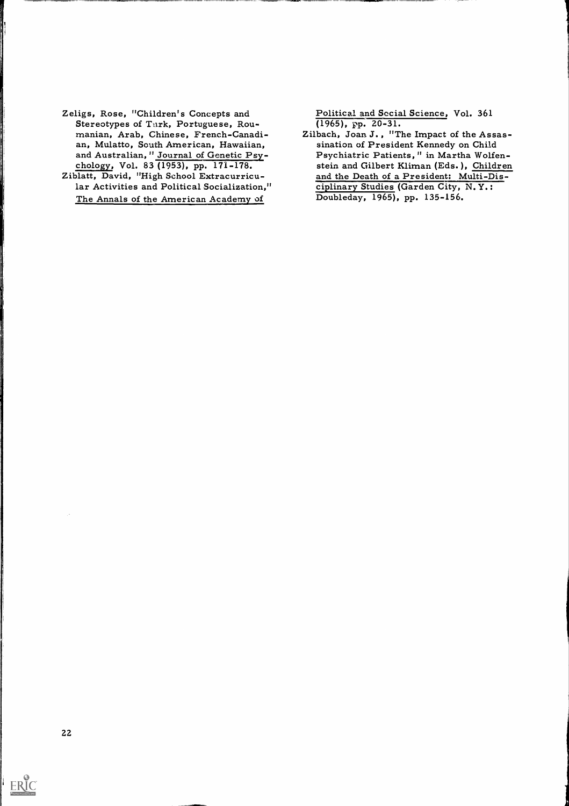- Zeligs, Rose, "Children's Concepts and Stereotypes of Turk, Portuguese, Rou- manian, Arab, Chinese, French-Canadian, Mulatto, South American, Hawaiian, and Australian, "Journal of Genetic Psy-<br>chology, Vol. 83 (1953), pp. 171-178.
- Ziblatt, David, "High School Extracurricular Activities and Political Socialization," The Annals of the American Academy of

Political and Secial Science, Vol. 361  $(1965)$ , pp. 20-31.

Zilbach, Joan J., "The Impact of the Assassination of President Kennedy on Child Psychiatric Patients, " in Martha Wolfen- stein and Gilbert Kliman (Eds. ), Children and the Death of a President: Multi-Disciplinary Studies (Garden City, N. Y.: Doubleday, 1965), pp. 135-156.